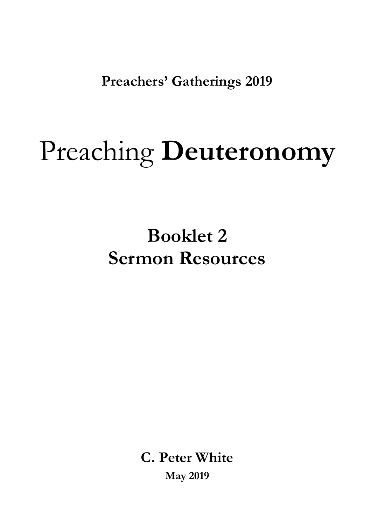**Preachers' Gatherings 2019** 

# Preaching **Deuteronomy**

## **Booklet 2 Sermon Resources**

**C. Peter White May 2019**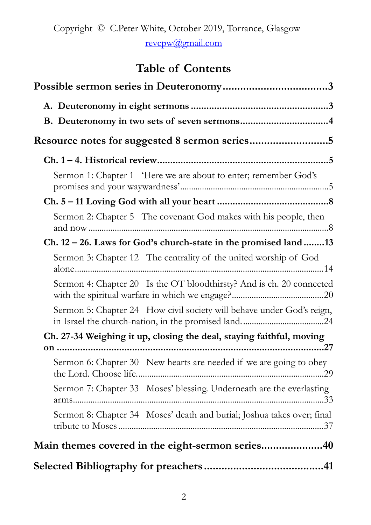## **Table of Contents**

| Sermon 1: Chapter 1 'Here we are about to enter; remember God's        |  |  |  |  |
|------------------------------------------------------------------------|--|--|--|--|
|                                                                        |  |  |  |  |
| Sermon 2: Chapter 5 The covenant God makes with his people, then       |  |  |  |  |
| $Ch. 12-26.$ Laws for God's church-state in the promised land 13       |  |  |  |  |
| Sermon 3: Chapter 12 The centrality of the united worship of God       |  |  |  |  |
| Sermon 4: Chapter 20 Is the OT bloodthirsty? And is ch. 20 connected   |  |  |  |  |
| Sermon 5: Chapter 24 How civil society will behave under God's reign,  |  |  |  |  |
| Ch. 27-34 Weighing it up, closing the deal, staying faithful, moving   |  |  |  |  |
| .27                                                                    |  |  |  |  |
| Sermon 6: Chapter 30 New hearts are needed if we are going to obey     |  |  |  |  |
| Sermon 7: Chapter 33 Moses' blessing. Underneath are the everlasting   |  |  |  |  |
| Sermon 8: Chapter 34 Moses' death and burial; Joshua takes over; final |  |  |  |  |
| Main themes covered in the eight-sermon series40                       |  |  |  |  |
|                                                                        |  |  |  |  |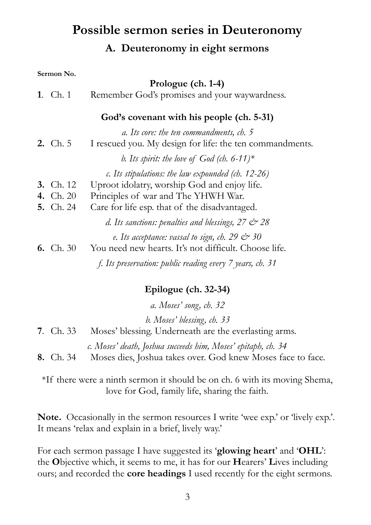## <span id="page-2-1"></span><span id="page-2-0"></span>**Possible sermon series in Deuteronomy A. Deuteronomy in eight sermons**

#### **Sermon No.**

|                  | Prologue (ch. 1-4)                                                                                                     |
|------------------|------------------------------------------------------------------------------------------------------------------------|
| 1. Ch. 1         | Remember God's promises and your waywardness.                                                                          |
|                  | God's covenant with his people (ch. 5-31)                                                                              |
| <b>2.</b> Ch. 5  | a. Its core: the ten commandments, ch. 5<br>I rescued you. My design for life: the ten commandments.                   |
|                  | b. Its spirit: the love of God (ch. 6-11)*                                                                             |
|                  | $c.$ Its stipulations: the law expounded (ch. 12-26)                                                                   |
| <b>3.</b> Ch. 12 | Uproot idolatry, worship God and enjoy life.                                                                           |
| <b>4.</b> Ch. 20 | Principles of war and The YHWH War.                                                                                    |
| <b>5.</b> Ch. 24 | Care for life esp. that of the disadvantaged.                                                                          |
|                  | d. Its sanctions: penalties and blessings, $27 \text{ } \textcircled{r} 28$                                            |
| 6. Ch. $30$      | e. Its acceptance: vassal to sign, ch. 29 $\ll\!\!\varphi$ 30<br>You need new hearts. It's not difficult. Choose life. |
|                  | f. Its preservation: public reading every 7 years, ch. 31                                                              |

#### **Epilogue (ch. 32-34)**

*a. Moses' song, ch. 32* 

*b. Moses' blessing, ch. 33* 

**7**. Ch. 33 Moses' blessing. Underneath are the everlasting arms.

*c. Moses' death, Joshua succeeds him, Moses' epitaph, ch. 34* 

**8.** Ch. 34 Moses dies, Joshua takes over. God knew Moses face to face.

\*If there were a ninth sermon it should be on ch. 6 with its moving Shema, love for God, family life, sharing the faith.

**Note.** Occasionally in the sermon resources I write 'wee exp.' or 'lively exp.'. It means 'relax and explain in a brief, lively way.'

For each sermon passage I have suggested its '**glowing heart**' and '**OHL**': the **O**bjective which, it seems to me, it has for our **H**earers' **L**ives including ours; and recorded the **core headings** I used recently for the eight sermons.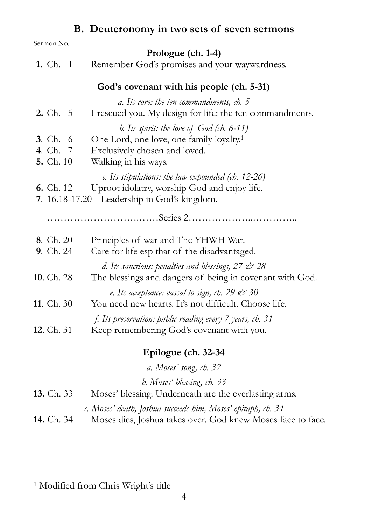## <span id="page-3-2"></span><span id="page-3-0"></span>**B. Deuteronomy in two sets of seven sermons**

| Sermon No.                                             |                                                                                                                                                              |
|--------------------------------------------------------|--------------------------------------------------------------------------------------------------------------------------------------------------------------|
|                                                        | Prologue (ch. 1-4)                                                                                                                                           |
| <b>1.</b> Ch. 1                                        | Remember God's promises and your waywardness.                                                                                                                |
|                                                        | God's covenant with his people (ch. 5-31)                                                                                                                    |
| <b>2.</b> Ch. $5$                                      | a. Its core: the ten commandments, ch. 5<br>I rescued you. My design for life: the ten commandments.                                                         |
| <b>3.</b> Ch. 6<br><b>4.</b> Ch. 7<br><b>5.</b> Ch. 10 | b. Its spirit: the love of $God$ (ch. 6-11)<br>One Lord, one love, one family loyalty. <sup>1</sup><br>Exclusively chosen and loved.<br>Walking in his ways. |
| <b>6.</b> Ch. 12                                       | c. Its stipulations: the law expounded (ch. $12-26$ )<br>Uproot idolatry, worship God and enjoy life.<br>7. 16.18-17.20 Leadership in God's kingdom.         |
|                                                        |                                                                                                                                                              |
| 8. Ch. 20<br><b>9.</b> Ch. 24                          | Principles of war and The YHWH War.<br>Care for life esp that of the disadvantaged.                                                                          |
| <b>10</b> . Ch. 28                                     | d. Its sanctions: penalties and blessings, $27 \text{ } \textcircled{r} 28$<br>The blessings and dangers of being in covenant with God.                      |
| <b>11</b> . Ch. 30                                     | e. Its acceptance: vassal to sign, ch. 29 $\ll\!\!\varphi$ 30<br>You need new hearts. It's not difficult. Choose life.                                       |
| <b>12.</b> Ch. 31                                      | f. Its preservation: public reading every 7 years, ch. 31<br>Keep remembering God's covenant with you.                                                       |
|                                                        | Epilogue (ch. 32-34                                                                                                                                          |
|                                                        | a. Moses' song, ch. 32                                                                                                                                       |
|                                                        | b. Moses' blessing, ch. 33                                                                                                                                   |
| <b>13.</b> Ch. 33                                      | Moses' blessing. Underneath are the everlasting arms.                                                                                                        |
| <b>14.</b> Ch. 34                                      | c. Moses' death, Joshua succeeds him, Moses' epitaph, ch. 34<br>Moses dies, Joshua takes over. God knew Moses face to face.                                  |

<span id="page-3-1"></span> $^{\rm 1}$  $^{\rm 1}$  $^{\rm 1}$  Modified from Chris Wright's title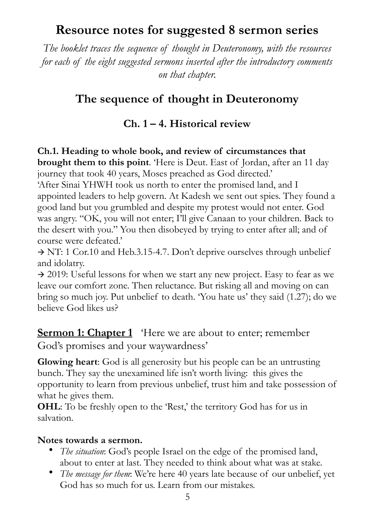## <span id="page-4-0"></span>**Resource notes for suggested 8 sermon series**

*The booklet traces the sequence of thought in Deuteronomy, with the resources for each of the eight suggested sermons inserted after the introductory comments on that chapter.* 

## **The sequence of thought in Deuteronomy**

#### <span id="page-4-1"></span>**Ch. 1 – 4. Historical review**

## **Ch.1. Heading to whole book, and review of circumstances that brought them to this point**. 'Here is Deut. East of Jordan, after an 11 day

journey that took 40 years, Moses preached as God directed.' 'After Sinai YHWH took us north to enter the promised land, and I

appointed leaders to help govern. At Kadesh we sent out spies. They found a good land but you grumbled and despite my protest would not enter. God was angry. "OK, you will not enter; I'll give Canaan to your children. Back to the desert with you." You then disobeyed by trying to enter after all; and of course were defeated.'

 $\rightarrow$  NT: 1 Cor.10 and Heb.3.15-4.7. Don't deprive ourselves through unbelief and idolatry.

 $\rightarrow$  2019: Useful lessons for when we start any new project. Easy to fear as we leave our comfort zone. Then reluctance. But risking all and moving on can bring so much joy. Put unbelief to death. 'You hate us' they said (1.27); do we believe God likes us?

<span id="page-4-2"></span>**<u>Sermon 1: Chapter 1</u>** 'Here we are about to enter; remember God's promises and your waywardness'

**Glowing heart**: God is all generosity but his people can be an untrusting bunch. They say the unexamined life isn't worth living: this gives the opportunity to learn from previous unbelief, trust him and take possession of what he gives them.

**OHL:** To be freshly open to the 'Rest,' the territory God has for us in salvation.

#### **Notes towards a sermon.**

- *The situation*: God's people Israel on the edge of the promised land, about to enter at last. They needed to think about what was at stake.
- *The message for them*: We're here 40 years late because of our unbelief, yet God has so much for us. Learn from our mistakes.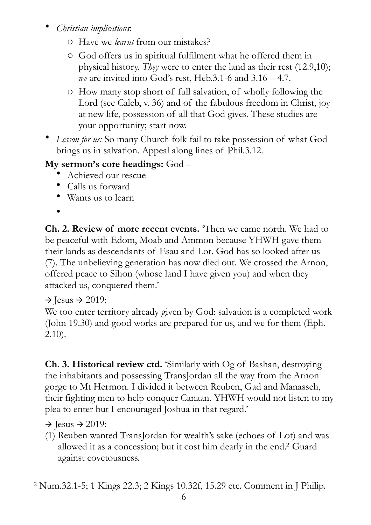- *Christian implications*:
	- o Have we *learnt* from our mistakes?
	- o God offers us in spiritual fulfilment what he offered them in physical history. *They* were to enter the land as their rest (12.9,10); *we* are invited into God's rest, Heb.3.1-6 and 3.16 – 4.7.
	- o How many stop short of full salvation, of wholly following the Lord (see Caleb, v. 36) and of the fabulous freedom in Christ, joy at new life, possession of all that God gives. These studies are your opportunity; start now.
- *Lesson for us:* So many Church folk fail to take possession of what God brings us in salvation. Appeal along lines of Phil.3.12.

#### **My sermon's core headings:** God –

- Achieved our rescue
- Calls us forward
- Wants us to learn
- •

**Ch. 2. Review of more recent events.** 'Then we came north. We had to be peaceful with Edom, Moab and Ammon because YHWH gave them their lands as descendants of Esau and Lot. God has so looked after us (7). The unbelieving generation has now died out. We crossed the Arnon, offered peace to Sihon (whose land I have given you) and when they attacked us, conquered them.'

#### $\rightarrow$  Jesus  $\rightarrow$  2019:

We too enter territory already given by God: salvation is a completed work (John 19.30) and good works are prepared for us, and we for them (Eph. 2.10).

**Ch. 3. Historical review ctd.** 'Similarly with Og of Bashan, destroying the inhabitants and possessing TransJordan all the way from the Arnon gorge to Mt Hermon. I divided it between Reuben, Gad and Manasseh, their fighting men to help conquer Canaan. YHWH would not listen to my plea to enter but I encouraged Joshua in that regard.'

 $\rightarrow$  Jesus  $\rightarrow$  2019:

<span id="page-5-1"></span>(1) Reuben wanted TransJordan for wealth's sake (echoes of Lot) and was allowed it as a concession; but it cost him dearly in the end[.](#page-5-0)<sup>[2](#page-5-0)</sup> Guard against covetousness.

<span id="page-5-0"></span>Num.32.1-5; 1 Kings 22.3; 2 Kings 10.32f, 15.29 etc. Comment in J Philip. [2](#page-5-1)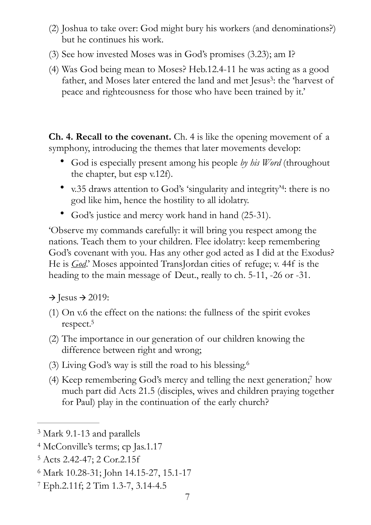- (2) Joshua to take over: God might bury his workers (and denominations?) but he continues his work.
- (3) See how invested Moses was in God's promises (3.23); am I?
- <span id="page-6-5"></span>(4) Was God being mean to Moses? Heb.12.4-11 he was acting as a good father, and Moses later entered the land and met Jesus<sup>[3](#page-6-0)</sup>: the 'harvest of peace and righteousness for those who have been trained by it.'

**Ch. 4. Recall to the covenant.** Ch. 4 is like the opening movement of a symphony, introducing the themes that later movements develop:

- God is especially present among his people *by his Word* (throughout the chapter, but esp v.12f).
- <span id="page-6-6"></span>• v.35 draws attention to God's 'singularity and integrity'<sup>4</sup>[:](#page-6-1) there is no god like him, hence the hostility to all idolatry.
- God's justice and mercy work hand in hand (25-31).

'Observe my commands carefully: it will bring you respect among the nations. Teach them to your children. Flee idolatry: keep remembering God's covenant with you. Has any other god acted as I did at the Exodus? He is *God*.' Moses appointed TransJordan cities of refuge; v. 44f is the heading to the main message of Deut., really to ch. 5-11, -26 or -31.

 $\rightarrow$  Jesus  $\rightarrow$  2019:

- <span id="page-6-7"></span>(1) On v.6 the effect on the nations: the fullness of the spirit evokes respect[.](#page-6-2)<sup>[5](#page-6-2)</sup>
- (2) The importance in our generation of our children knowing the difference between right and wrong;
- <span id="page-6-8"></span>(3) Living God's way is still the road to his blessing[.](#page-6-3) [6](#page-6-3)
- <span id="page-6-9"></span>(4) Keep remembering God's mercy and telling the next generation[;](#page-6-4)<sup>[7](#page-6-4)</sup> how much part did Acts 21.5 (disciples, wives and children praying together for Paul) play in the continuation of the early church?

<span id="page-6-0"></span><sup>&</sup>lt;sup>[3](#page-6-5)</sup> Mark 9.1-13 and parallels

<span id="page-6-1"></span><sup>&</sup>lt;sup>[4](#page-6-6)</sup> McConville's terms; cp Jas.1.17

<span id="page-6-2"></span>Acts 2.42-47; 2 Cor.2.15f [5](#page-6-7)

<span id="page-6-3"></span>Mark 10.28-31; John 14.15-27, 15.1-17 [6](#page-6-8)

<span id="page-6-4"></span>Eph.2.11f; 2 Tim 1.3-7, 3.14-4.5 [7](#page-6-9)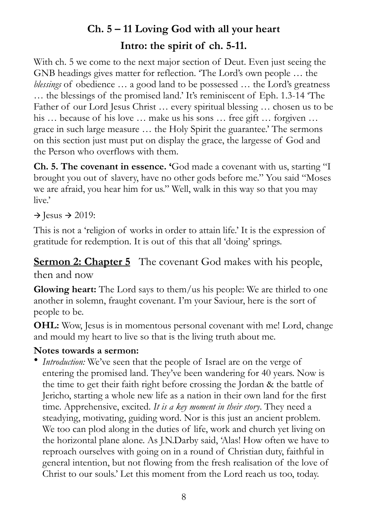## <span id="page-7-0"></span>**Ch. 5 – 11 Loving God with all your heart Intro: the spirit of ch. 5-11.**

With ch. 5 we come to the next major section of Deut. Even just seeing the GNB headings gives matter for reflection. 'The Lord's own people … the *blessings* of obedience ... a good land to be possessed ... the Lord's greatness … the blessings of the promised land.' It's reminiscent of Eph. 1.3-14 'The Father of our Lord Jesus Christ … every spiritual blessing … chosen us to be his … because of his love … make us his sons … free gift … forgiven … grace in such large measure … the Holy Spirit the guarantee.' The sermons on this section just must put on display the grace, the largesse of God and the Person who overflows with them.

**Ch. 5. The covenant in essence. '**God made a covenant with us, starting "I brought you out of slavery, have no other gods before me." You said "Moses we are afraid, you hear him for us." Well, walk in this way so that you may live.'

 $\rightarrow$  Jesus  $\rightarrow$  2019:

This is not a 'religion of works in order to attain life.' It is the expression of gratitude for redemption. It is out of this that all 'doing' springs.

<span id="page-7-1"></span>**<u>Sermon 2: Chapter 5</u>** The covenant God makes with his people, then and now

**Glowing heart:** The Lord says to them/us his people: We are thirled to one another in solemn, fraught covenant. I'm your Saviour, here is the sort of people to be.

**OHL:** Wow, Jesus is in momentous personal covenant with me! Lord, change and mould my heart to live so that is the living truth about me.

#### **Notes towards a sermon:**

• *Introduction:* We've seen that the people of Israel are on the verge of entering the promised land. They've been wandering for 40 years. Now is the time to get their faith right before crossing the Jordan & the battle of Jericho, starting a whole new life as a nation in their own land for the first time. Apprehensive, excited. *It is a key moment in their story*. They need a steadying, motivating, guiding word. Nor is this just an ancient problem. We too can plod along in the duties of life, work and church yet living on the horizontal plane alone. As J.N.Darby said, 'Alas! How often we have to reproach ourselves with going on in a round of Christian duty, faithful in general intention, but not flowing from the fresh realisation of the love of Christ to our souls.' Let this moment from the Lord reach us too, today.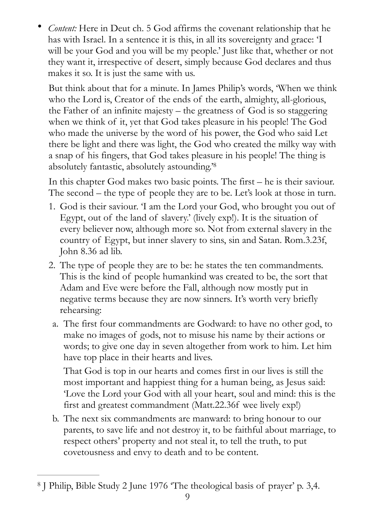• *Content:* Here in Deut ch. 5 God affirms the covenant relationship that he has with Israel. In a sentence it is this, in all its sovereignty and grace: 'I will be your God and you will be my people.' Just like that, whether or not they want it, irrespective of desert, simply because God declares and thus makes it so. It is just the same with us.

But think about that for a minute. In James Philip's words, 'When we think who the Lord is, Creator of the ends of the earth, almighty, all-glorious, the Father of an infinite majesty – the greatness of God is so staggering when we think of it, yet that God takes pleasure in his people! The God who made the universe by the word of his power, the God who said Let there be light and there was light, the God who created the milky way with a snap of his fingers, that God takes pleasure in his people! The thing is absolutely fantastic, absolutely astounding.['8](#page-8-0)

<span id="page-8-1"></span>In this chapter God makes two basic points. The first – he is their saviour. The second – the type of people they are to be. Let's look at those in turn.

- 1. God is their saviour. 'I am the Lord your God, who brought you out of Egypt, out of the land of slavery.' (lively exp!). It is the situation of every believer now, although more so. Not from external slavery in the country of Egypt, but inner slavery to sins, sin and Satan. Rom.3.23f, John 8.36 ad lib.
- 2. The type of people they are to be: he states the ten commandments. This is the kind of people humankind was created to be, the sort that Adam and Eve were before the Fall, although now mostly put in negative terms because they are now sinners. It's worth very briefly rehearsing:
	- a. The first four commandments are Godward: to have no other god, to make no images of gods, not to misuse his name by their actions or words; to give one day in seven altogether from work to him. Let him have top place in their hearts and lives.

That God is top in our hearts and comes first in our lives is still the most important and happiest thing for a human being, as Jesus said: 'Love the Lord your God with all your heart, soul and mind: this is the first and greatest commandment (Matt.22.36f wee lively exp!)

b. The next six commandments are manward: to bring honour to our parents, to save life and not destroy it, to be faithful about marriage, to respect others' property and not steal it, to tell the truth, to put covetousness and envy to death and to be content.

<span id="page-8-0"></span>J Philip, Bible Study 2 June 1976 'The theological basis of prayer' p. 3,4. [8](#page-8-1)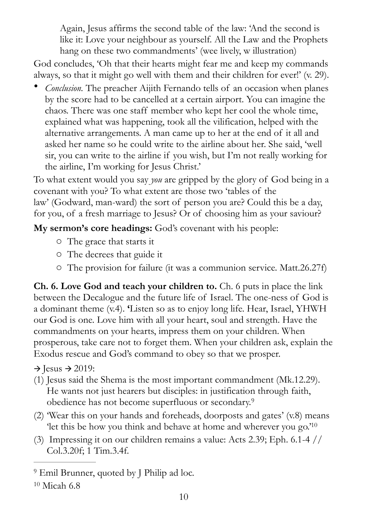Again, Jesus affirms the second table of the law: 'And the second is like it: Love your neighbour as yourself. All the Law and the Prophets hang on these two commandments' (wee lively, w illustration)

God concludes, 'Oh that their hearts might fear me and keep my commands always, so that it might go well with them and their children for ever!' (v. 29).

• *Conclusion.* The preacher Aijith Fernando tells of an occasion when planes by the score had to be cancelled at a certain airport. You can imagine the chaos. There was one staff member who kept her cool the whole time, explained what was happening, took all the vilification, helped with the alternative arrangements. A man came up to her at the end of it all and asked her name so he could write to the airline about her. She said, 'well sir, you can write to the airline if you wish, but I'm not really working for the airline, I'm working for Jesus Christ.'

To what extent would you say *you* are gripped by the glory of God being in a covenant with you? To what extent are those two 'tables of the law' (Godward, man-ward) the sort of person you are? Could this be a day, for you, of a fresh marriage to Jesus? Or of choosing him as your saviour?

**My sermon's core headings:** God's covenant with his people:

- o The grace that starts it
- o The decrees that guide it
- o The provision for failure (it was a communion service. Matt.26.27f)

**Ch. 6. Love God and teach your children to.** Ch. 6 puts in place the link between the Decalogue and the future life of Israel. The one-ness of God is a dominant theme (v.4). **'**Listen so as to enjoy long life. Hear, Israel, YHWH our God is one. Love him with all your heart, soul and strength. Have the commandments on your hearts, impress them on your children. When prosperous, take care not to forget them. When your children ask, explain the Exodus rescue and God's command to obey so that we prosper.

 $\rightarrow$  Jesus  $\rightarrow$  2019:

- (1) Jesus said the Shema is the most important commandment (Mk.12.29). He wants not just hearers but disciples: in justification through faith, obedience has not become superfluous or secondary. [9](#page-9-0)
- <span id="page-9-3"></span><span id="page-9-2"></span>(2) 'Wear this on your hands and foreheads, doorposts and gates' (v.8) means ['](#page-9-1)let this be how you think and behave at home and wherever you go.'<sup>[10](#page-9-1)</sup>
- (3) Impressing it on our children remains a value: Acts 2.39; Eph. 6.1-4 // Col.3.20f; 1 Tim.3.4f.

<span id="page-9-0"></span><sup>&</sup>lt;sup>[9](#page-9-2)</sup> Emil Brunner, quoted by J Philip ad loc.

<span id="page-9-1"></span> $10$  Micah 6.8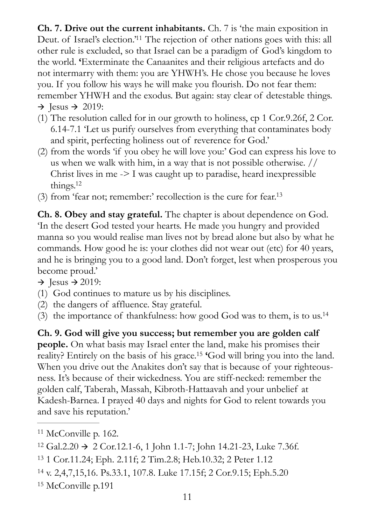<span id="page-10-5"></span>**Ch. 7. Drive out the current inhabitants.** Ch. 7 is 'the main exposition in Deut. of Israel['](#page-10-0)s election.<sup>'[11](#page-10-0)</sup> The rejection of other nations goes with this: all other rule is excluded, so that Israel can be a paradigm of God's kingdom to the world. **'**Exterminate the Canaanites and their religious artefacts and do not intermarry with them: you are YHWH's. He chose you because he loves you. If you follow his ways he will make you flourish. Do not fear them: remember YHWH and the exodus. But again: stay clear of detestable things.  $\rightarrow$  Jesus  $\rightarrow$  2019:

- (1) The resolution called for in our growth to holiness, cp 1 Cor.9.26f, 2 Cor. 6.14-7.1 'Let us purify ourselves from everything that contaminates body and spirit, perfecting holiness out of reverence for God.'
- (2) from the words 'if you obey he will love you:' God can express his love to us when we walk with him, in a way that is not possible otherwise. // Christ lives in me -> I was caught up to paradise, heard inexpressible things[.](#page-10-1) $12$
- <span id="page-10-7"></span><span id="page-10-6"></span>(3) from 'fear not; remember:' recollection is the cure for fear[.13](#page-10-2)

**Ch. 8. Obey and stay grateful.** The chapter is about dependence on God. 'In the desert God tested your hearts. He made you hungry and provided manna so you would realise man lives not by bread alone but also by what he commands. How good he is: your clothes did not wear out (etc) for 40 years, and he is bringing you to a good land. Don't forget, lest when prosperous you become proud.'

 $\rightarrow$  Jesus  $\rightarrow$  2019:

- (1) God continues to mature us by his disciplines.
- (2) the dangers of affluence. Stay grateful.
- <span id="page-10-8"></span>(3) the importance of thankfulness: how good God was to them, is to us[.14](#page-10-3)

<span id="page-10-9"></span>**Ch. 9. God will give you success; but remember you are golden calf people.** On what basis may Israel enter the land, make his promises their reality? Entirely on the basis of his grace.<sup>[15](#page-10-4)</sup> God will bring you into the land. When you drive out the Anakites don't say that is because of your righteousness. It's because of their wickedness. You are stiff-necked: remember the golden calf, Taberah, Massah, Kibroth-Hattaavah and your unbelief at Kadesh-Barnea. I prayed 40 days and nights for God to relent towards you and save his reputation.'

<span id="page-10-3"></span>v. 2,4,7,15,16. Ps.33.1, 107.8. Luke 17.15f; 2 Cor.9.15; Eph.5.20 [14](#page-10-8)

<span id="page-10-4"></span><sup>[15](#page-10-9)</sup> McConville p.191

<span id="page-10-0"></span> $11$  McConville p. 162.

<span id="page-10-1"></span> $12 \text{ Gal.2.20} \rightarrow 2 \text{ Cor.12.1-6, 1}$  $12 \text{ Gal.2.20} \rightarrow 2 \text{ Cor.12.1-6, 1}$  John 1.1-7; John 14.21-23, Luke 7.36f.

<span id="page-10-2"></span><sup>&</sup>lt;sup>[13](#page-10-7)</sup> 1 Cor.11.24; Eph. 2.11f; 2 Tim.2.8; Heb.10.32; 2 Peter 1.12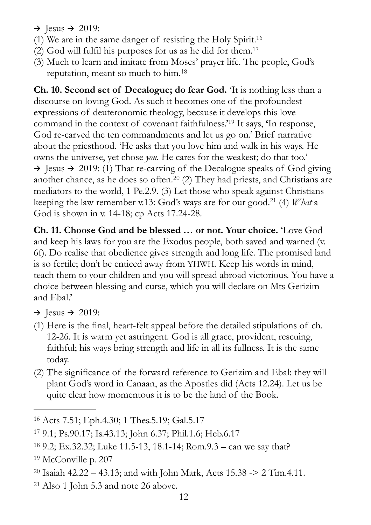- <span id="page-11-6"></span> $\rightarrow$  Jesus  $\rightarrow$  2019:
- (1) We are in the same danger of resisting the Holy Spirit. [16](#page-11-0)
- <span id="page-11-7"></span> $(2)$  God will fulfil his purposes for us as he did for them[.](#page-11-1)<sup>[17](#page-11-1)</sup>
- <span id="page-11-8"></span>(3) Much to learn and imitate from Moses' prayer life. The people, God's reputation, meant so much to him. [18](#page-11-2)

<span id="page-11-9"></span>**Ch. 10. Second set of Decalogue; do fear God.** 'It is nothing less than a discourse on loving God. As such it becomes one of the profoundest expressions of deuteronomic theology, because it develops this love command in the context of covenant faithfulness.<sup>['](#page-11-3)19</sup> It says, 'In response, God re-carved the ten commandments and let us go on.' Brief narrative about the priesthood. 'He asks that you love him and walk in his ways. He owns the universe, yet chose *you.* He cares for the weakest; do that too.'  $\rightarrow$  Jesus  $\rightarrow$  2019: (1) That re-carving of the Decalogue speaks of God giving another chance, as he does so often.<sup>[20](#page-11-4)</sup> (2) They had priests, and Christians are mediators to the world, 1 Pe.2.9. (3) Let those who speak against Christians keeping the law remember v[.](#page-11-5)13: God's ways are for our good.<sup>21</sup> (4) *What* a God is shown in v. 14-18; cp Acts 17.24-28.

<span id="page-11-11"></span><span id="page-11-10"></span>**Ch. 11. Choose God and be blessed … or not. Your choice.** 'Love God and keep his laws for you are the Exodus people, both saved and warned (v. 6f). Do realise that obedience gives strength and long life. The promised land is so fertile; don't be enticed away from YHWH. Keep his words in mind, teach them to your children and you will spread abroad victorious. You have a choice between blessing and curse, which you will declare on Mts Gerizim and Ebal.'

- $\rightarrow$  Jesus  $\rightarrow$  2019:
- (1) Here is the final, heart-felt appeal before the detailed stipulations of ch. 12-26. It is warm yet astringent. God is all grace, provident, rescuing, faithful; his ways bring strength and life in all its fullness. It is the same today.
- (2) The significance of the forward reference to Gerizim and Ebal: they will plant God's word in Canaan, as the Apostles did (Acts 12.24). Let us be quite clear how momentous it is to be the land of the Book.

<span id="page-11-5"></span> $21$  Also 1 John 5.3 and note 26 above.

<span id="page-11-0"></span><sup>&</sup>lt;sup>[16](#page-11-6)</sup> Acts 7.51; Eph.4.30; 1 Thes.5.19; Gal.5.17

<span id="page-11-1"></span> <sup>9.1;</sup> Ps.90.17; Is.43.13; John 6.37; Phil.1.6; Heb.6.17 [17](#page-11-7)

<span id="page-11-2"></span> <sup>9.2;</sup> Ex.32.32; Luke 11.5-13, 18.1-14; Rom.9.3 – can we say that? [18](#page-11-8)

<span id="page-11-3"></span> $19$  McConville p. 207

<span id="page-11-4"></span><sup>&</sup>lt;sup>[20](#page-11-10)</sup> Isaiah 42.22 – 43.13; and with John Mark, Acts 15.38 -> 2 Tim.4.11.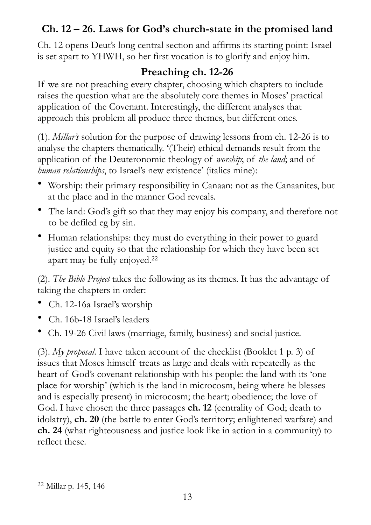#### <span id="page-12-0"></span>**Ch. 12 – 26. Laws for God's church-state in the promised land**

Ch. 12 opens Deut's long central section and affirms its starting point: Israel is set apart to YHWH, so her first vocation is to glorify and enjoy him.

#### **Preaching ch. 12-26**

If we are not preaching every chapter, choosing which chapters to include raises the question what are the absolutely core themes in Moses' practical application of the Covenant. Interestingly, the different analyses that approach this problem all produce three themes, but different ones.

(1). *Millar's* solution for the purpose of drawing lessons from ch. 12-26 is to analyse the chapters thematically. '(Their) ethical demands result from the application of the Deuteronomic theology of *worship*; of *the land*; and of *human relationships*, to Israel's new existence' (italics mine):

- Worship: their primary responsibility in Canaan: not as the Canaanites, but at the place and in the manner God reveals.
- The land: God's gift so that they may enjoy his company, and therefore not to be defiled eg by sin.
- Human relationships: they must do everything in their power to guard justice and equity so that the relationship for which they have been set apart may be fully enjoyed. [22](#page-12-1)

<span id="page-12-2"></span>(2). *The Bible Project* takes the following as its themes. It has the advantage of taking the chapters in order:

- Ch. 12-16a Israel's worship
- Ch. 16b-18 Israel's leaders
- Ch. 19-26 Civil laws (marriage, family, business) and social justice.

(3). *My proposal*. I have taken account of the checklist (Booklet 1 p. 3) of issues that Moses himself treats as large and deals with repeatedly as the heart of God's covenant relationship with his people: the land with its 'one place for worship' (which is the land in microcosm, being where he blesses and is especially present) in microcosm; the heart; obedience; the love of God. I have chosen the three passages **ch. 12** (centrality of God; death to idolatry), **ch. 20** (the battle to enter God's territory; enlightened warfare) and **ch. 24** (what righteousness and justice look like in action in a community) to reflect these.

<span id="page-12-1"></span><sup>&</sup>lt;sup>[22](#page-12-2)</sup> Millar p. 145, 146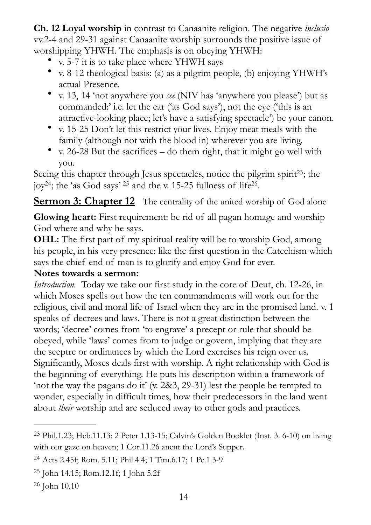**Ch. 12 Loyal worship** in contrast to Canaanite religion. The negative *inclusio*  vv.2-4 and 29-31 against Canaanite worship surrounds the positive issue of worshipping YHWH. The emphasis is on obeying YHWH:

- v. 5-7 it is to take place where YHWH says
- v. 8-12 theological basis: (a) as a pilgrim people, (b) enjoying YHWH's actual Presence.
- v. 13, 14 'not anywhere you *see* (NIV has 'anywhere you please') but as commanded:' i.e. let the ear ('as God says'), not the eye ('this is an attractive-looking place; let's have a satisfying spectacle') be your canon.
- v. 15-25 Don't let this restrict your lives. Enjoy meat meals with the family (although not with the blood in) wherever you are living.
- <span id="page-13-8"></span><span id="page-13-7"></span><span id="page-13-5"></span>• v. 26-28 But the sacrifices – do them right, that it might go well with you.

<span id="page-13-6"></span>Seeing this chapter through Jesus spectacles, notice the pilgrim spirit<sup>[23](#page-13-1)</sup>; the joy<sup>[24](#page-13-2)</sup>; the 'as God says'  $25$  and the v. 15-25 fullness of life<sup>26</sup>.

<span id="page-13-0"></span>**<u>Sermon 3: Chapter 12</u>** The centrality of the united worship of God alone

**Glowing heart:** First requirement: be rid of all pagan homage and worship God where and why he says.

**OHL:** The first part of my spiritual reality will be to worship God, among his people, in his very presence: like the first question in the Catechism which says the chief end of man is to glorify and enjoy God for ever.

#### **Notes towards a sermon:**

*Introduction.* Today we take our first study in the core of Deut, ch. 12-26, in which Moses spells out how the ten commandments will work out for the religious, civil and moral life of Israel when they are in the promised land. v. 1 speaks of decrees and laws. There is not a great distinction between the words; 'decree' comes from 'to engrave' a precept or rule that should be obeyed, while 'laws' comes from to judge or govern, implying that they are the sceptre or ordinances by which the Lord exercises his reign over us. Significantly, Moses deals first with worship. A right relationship with God is the beginning of everything. He puts his description within a framework of 'not the way the pagans do it' (v. 2&3, 29-31) lest the people be tempted to wonder, especially in difficult times, how their predecessors in the land went about *their* worship and are seduced away to other gods and practices.

<span id="page-13-1"></span>Phil.1.23; Heb.11.13; 2 Peter 1.13-15; Calvin's Golden Booklet (Inst. 3. 6-10) on living [23](#page-13-5) with our gaze on heaven; 1 Cor.11.26 anent the Lord's Supper.

<span id="page-13-2"></span>Acts 2.45f; Rom. 5.11; Phil.4.4; 1 Tim.6.17; 1 Pe.1.3-9 [24](#page-13-6)

<span id="page-13-3"></span><sup>&</sup>lt;sup>[25](#page-13-7)</sup> John 14.15; Rom.12.1f; 1 John 5.2f

<span id="page-13-4"></span><sup>&</sup>lt;sup>[26](#page-13-8)</sup> John 10.10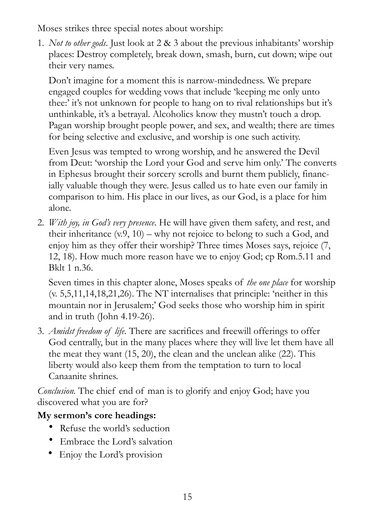Moses strikes three special notes about worship:

1. *Not to other gods*. Just look at 2 & 3 about the previous inhabitants' worship places: Destroy completely, break down, smash, burn, cut down; wipe out their very names.

Don't imagine for a moment this is narrow-mindedness. We prepare engaged couples for wedding vows that include 'keeping me only unto thee:' it's not unknown for people to hang on to rival relationships but it's unthinkable, it's a betrayal. Alcoholics know they mustn't touch a drop. Pagan worship brought people power, and sex, and wealth; there are times for being selective and exclusive, and worship is one such activity.

Even Jesus was tempted to wrong worship, and he answered the Devil from Deut: 'worship the Lord your God and serve him only.' The converts in Ephesus brought their sorcery scrolls and burnt them publicly, financially valuable though they were. Jesus called us to hate even our family in comparison to him. His place in our lives, as our God, is a place for him alone.

2. *With joy, in God's very presence*. He will have given them safety, and rest, and their inheritance  $(v.9, 10)$  – why not rejoice to belong to such a God, and enjoy him as they offer their worship? Three times Moses says, rejoice (7, 12, 18). How much more reason have we to enjoy God; cp Rom.5.11 and Bklt 1 n.36.

Seven times in this chapter alone, Moses speaks of *the one place* for worship (v. 5,5,11,14,18,21,26). The NT internalises that principle: 'neither in this mountain nor in Jerusalem;' God seeks those who worship him in spirit and in truth (John 4.19-26).

3. *Amidst freedom of life*. There are sacrifices and freewill offerings to offer God centrally, but in the many places where they will live let them have all the meat they want (15, 20), the clean and the unclean alike (22). This liberty would also keep them from the temptation to turn to local Canaanite shrines.

*Conclusion.* The chief end of man is to glorify and enjoy God; have you discovered what you are for?

#### **My sermon's core headings:**

- Refuse the world's seduction
- Embrace the Lord's salvation
- Enjoy the Lord's provision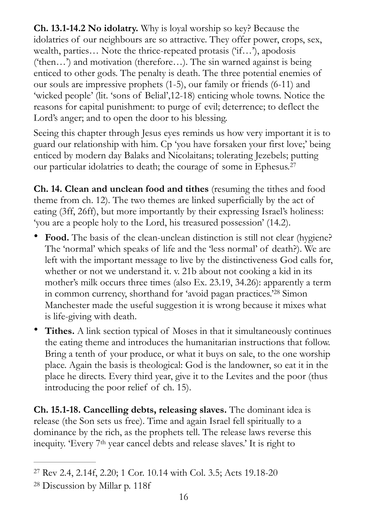**Ch. 13.1-14.2 No idolatry.** Why is loyal worship so key? Because the idolatries of our neighbours are so attractive. They offer power, crops, sex, wealth, parties… Note the thrice-repeated protasis ('if…'), apodosis ('then…') and motivation (therefore…). The sin warned against is being enticed to other gods. The penalty is death. The three potential enemies of our souls are impressive prophets (1-5), our family or friends (6-11) and 'wicked people' (lit. 'sons of Belial',12-18) enticing whole towns. Notice the reasons for capital punishment: to purge of evil; deterrence; to deflect the Lord's anger; and to open the door to his blessing.

Seeing this chapter through Jesus eyes reminds us how very important it is to guard our relationship with him. Cp 'you have forsaken your first love;' being enticed by modern day Balaks and Nicolaitans; tolerating Jezebels; putting our particular idolatries to death; the courage of some in Ephesus[.27](#page-15-0)

<span id="page-15-2"></span>**Ch. 14. Clean and unclean food and tithes** (resuming the tithes and food theme from ch. 12). The two themes are linked superficially by the act of eating (3ff, 26ff), but more importantly by their expressing Israel's holiness: 'you are a people holy to the Lord, his treasured possession' (14.2).

- **Food.** The basis of the clean-unclean distinction is still not clear (hygiene? The 'normal' which speaks of life and the 'less normal' of death?). We are left with the important message to live by the distinctiveness God calls for, whether or not we understand it. v. 21b about not cooking a kid in its mother's milk occurs three times (also Ex. 23.19, 34.26): apparently a term incommon currency, shorthand for 'avoid pagan practices.'<sup>[28](#page-15-1)</sup> Simon Manchester made the useful suggestion it is wrong because it mixes what is life-giving with death.
- <span id="page-15-3"></span>• **Tithes.** A link section typical of Moses in that it simultaneously continues the eating theme and introduces the humanitarian instructions that follow. Bring a tenth of your produce, or what it buys on sale, to the one worship place. Again the basis is theological: God is the landowner, so eat it in the place he directs. Every third year, give it to the Levites and the poor (thus introducing the poor relief of ch. 15).

**Ch. 15.1-18. Cancelling debts, releasing slaves.** The dominant idea is release (the Son sets us free). Time and again Israel fell spiritually to a dominance by the rich, as the prophets tell. The release laws reverse this inequity. 'Every 7th year cancel debts and release slaves.' It is right to

<span id="page-15-0"></span>Rev 2.4, 2.14f, 2.20; 1 Cor. 10.14 with Col. 3.5; Acts 19.18-20 [27](#page-15-2)

<span id="page-15-1"></span><sup>&</sup>lt;sup>[28](#page-15-3)</sup> Discussion by Millar p. 118f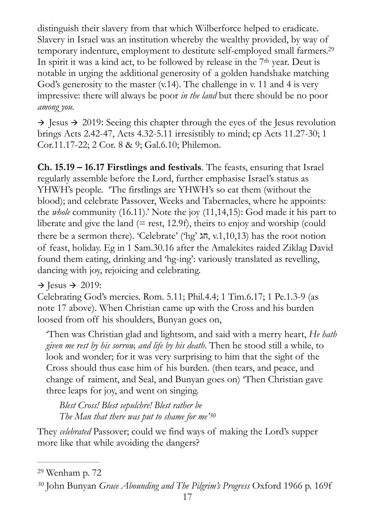<span id="page-16-2"></span>distinguish their slavery from that which Wilberforce helped to eradicate. Slavery in Israel was an institution whereby the wealthy provided, by way of temporary indenture, employment to destitute self-employed small farmers[.29](#page-16-0) In spirit it was a kind act, to be followed by release in the 7<sup>th</sup> year. Deut is notable in urging the additional generosity of a golden handshake matching God's generosity to the master  $(v.14)$ . The challenge in v. 11 and 4 is very impressive: there will always be poor *in the land* but there should be no poor *among you.* 

 $\rightarrow$  Jesus  $\rightarrow$  2019: Seeing this chapter through the eyes of the Jesus revolution brings Acts 2.42-47, Acts 4.32-5.11 irresistibly to mind; cp Acts 11.27-30; 1 Cor.11.17-22; 2 Cor. 8 & 9; Gal.6.10; Philemon.

**Ch. 15.19 – 16.17 Firstlings and festivals**. The feasts, ensuring that Israel regularly assemble before the Lord, further emphasise Israel's status as YHWH's people. 'The firstlings are YHWH's so eat them (without the blood); and celebrate Passover, Weeks and Tabernacles, where he appoints: the *whole* community (16.11).' Note the joy (11,14,15): God made it his part to liberate and give the land  $(= \text{rest}, 12.9f)$ , theirs to enjoy and worship (could there be a sermon there). 'Celebrate' ('hg'  $\lambda \overline{n}$ , v.1,10,13) has the root notion of feast, holiday. Eg in 1 Sam.30.16 after the Amalekites raided Ziklag David found them eating, drinking and 'hg-ing': variously translated as revelling, dancing with joy, rejoicing and celebrating.

#### $\rightarrow$  Jesus  $\rightarrow$  2019:

Celebrating God's mercies. Rom. 5.11; Phil.4.4; 1 Tim.6.17; 1 Pe.1.3-9 (as note 17 above). When Christian came up with the Cross and his burden loosed from off his shoulders, Bunyan goes on,

'Then was Christian glad and lightsom, and said with a merry heart, *He hath given me rest by his sorrow, and life by his death*. Then he stood still a while, to look and wonder; for it was very surprising to him that the sight of the Cross should thus ease him of his burden. (then tears, and peace, and change of raiment, and Seal, and Bunyan goes on) 'Then Christian gave three leaps for joy, and went on singing.

<span id="page-16-3"></span>*Blest Cross! Blest sepulchre! Blest rather be The Man that there was put to shame for me'[30](#page-16-1)*

They *celebrated* Passover; could we find ways of making the Lord's supper more like that while avoiding the dangers?

<span id="page-16-0"></span><sup>&</sup>lt;sup>[29](#page-16-2)</sup> Wenham p. 72

<span id="page-16-1"></span>John Bunyan *Grace Abounding and The Pilgrim's Progress* Oxford 1966 p. 169f *[30](#page-16-3)*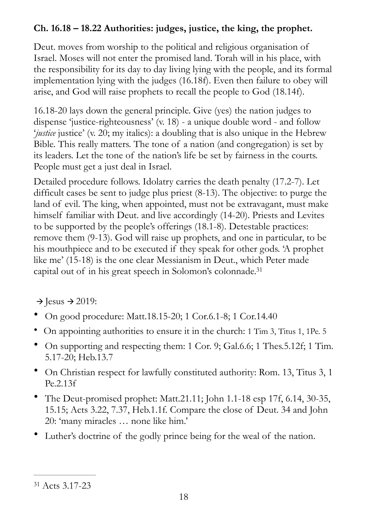#### **Ch. 16.18 – 18.22 Authorities: judges, justice, the king, the prophet.**

Deut. moves from worship to the political and religious organisation of Israel. Moses will not enter the promised land. Torah will in his place, with the responsibility for its day to day living lying with the people, and its formal implementation lying with the judges (16.18f). Even then failure to obey will arise, and God will raise prophets to recall the people to God (18.14f).

16.18-20 lays down the general principle. Give (yes) the nation judges to dispense 'justice-righteousness' (v. 18) - a unique double word - and follow '*justice* justice' (v. 20; my italics): a doubling that is also unique in the Hebrew Bible. This really matters. The tone of a nation (and congregation) is set by its leaders. Let the tone of the nation's life be set by fairness in the courts. People must get a just deal in Israel.

Detailed procedure follows. Idolatry carries the death penalty (17.2-7). Let difficult cases be sent to judge plus priest (8-13). The objective: to purge the land of evil. The king, when appointed, must not be extravagant, must make himself familiar with Deut. and live accordingly (14-20). Priests and Levites to be supported by the people's offerings (18.1-8). Detestable practices: remove them (9-13). God will raise up prophets, and one in particular, to be his mouthpiece and to be executed if they speak for other gods. 'A prophet like me' (15-18) is the one clear Messianism in Deut., which Peter made capital out of in his great speech in Solomon's colonnade[.31](#page-17-0)

<span id="page-17-1"></span> $\rightarrow$  Jesus  $\rightarrow$  2019:

- On good procedure: Matt.18.15-20; 1 Cor.6.1-8; 1 Cor.14.40
- On appointing authorities to ensure it in the church: 1 Tim 3, Titus 1, 1Pe. 5
- On supporting and respecting them: 1 Cor. 9; Gal.6.6; 1 Thes.5.12f; 1 Tim. 5.17-20; Heb.13.7
- On Christian respect for lawfully constituted authority: Rom. 13, Titus 3, 1 Pe.2.13f
- The Deut-promised prophet: Matt.21.11; John 1.1-18 esp 17f, 6.14, 30-35, 15.15; Acts 3.22, 7.37, Heb.1.1f. Compare the close of Deut. 34 and John 20: 'many miracles … none like him.'
- Luther's doctrine of the godly prince being for the weal of the nation.

<span id="page-17-0"></span><sup>&</sup>lt;sup>[31](#page-17-1)</sup> Acts 3.17-23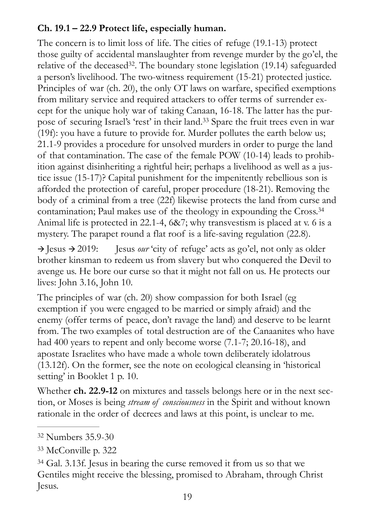#### **Ch. 19.1 – 22.9 Protect life, especially human.**

<span id="page-18-4"></span><span id="page-18-3"></span>The concern is to limit loss of life. The cities of refuge (19.1-13) protect those guilty of accidental manslaughter from revenge murder by the go'el, the relative of the deceased<sup>[32](#page-18-0)</sup>. The boundary stone legislation  $(19.14)$  safeguarded a person's livelihood. The two-witness requirement (15-21) protected justice. Principles of war (ch. 20), the only OT laws on warfare, specified exemptions from military service and required attackers to offer terms of surrender except for the unique holy war of taking Canaan, 16-18. The latter has the pur-pose of securing Israel's 'rest' in their land[.](#page-18-1)<sup>[33](#page-18-1)</sup> Spare the fruit trees even in war (19f): you have a future to provide for. Murder pollutes the earth below us; 21.1-9 provides a procedure for unsolved murders in order to purge the land of that contamination. The case of the female POW (10-14) leads to prohibition against disinheriting a rightful heir; perhaps a livelihood as well as a justice issue (15-17)? Capital punishment for the impenitently rebellious son is afforded the protection of careful, proper procedure (18-21). Removing the body of a criminal from a tree (22f) likewise protects the land from curse and contamination; Paul makes use of the theology in expounding the Cross[.34](#page-18-2) Animal life is protected in 22.1-4, 6&7; why transvestism is placed at v. 6 is a mystery. The parapet round a flat roof is a life-saving regulation (22.8).

<span id="page-18-5"></span> $\rightarrow$  Jesus  $\rightarrow$  2019: Jesus *our* 'city of refuge' acts as go'el, not only as older brother kinsman to redeem us from slavery but who conquered the Devil to avenge us. He bore our curse so that it might not fall on us. He protects our lives: John 3.16, John 10.

The principles of war (ch. 20) show compassion for both Israel (eg exemption if you were engaged to be married or simply afraid) and the enemy (offer terms of peace, don't ravage the land) and deserve to be learnt from. The two examples of total destruction are of the Canaanites who have had 400 years to repent and only become worse (7.1-7; 20.16-18), and apostate Israelites who have made a whole town deliberately idolatrous (13.12f). On the former, see the note on ecological cleansing in 'historical setting' in Booklet 1 p. 10.

Whether **ch. 22.9-12** on mixtures and tassels belongs here or in the next section, or Moses is being *stream of consciousness* in the Spirit and without known rationale in the order of decrees and laws at this point, is unclear to me.

<span id="page-18-0"></span><sup>&</sup>lt;sup>[32](#page-18-3)</sup> Numbers 35.9-30

<span id="page-18-1"></span><sup>&</sup>lt;sup>[33](#page-18-4)</sup> McConville p. 322

<span id="page-18-2"></span><sup>&</sup>lt;sup>[34](#page-18-5)</sup> Gal. 3.13f. Jesus in bearing the curse removed it from us so that we Gentiles might receive the blessing, promised to Abraham, through Christ Jesus.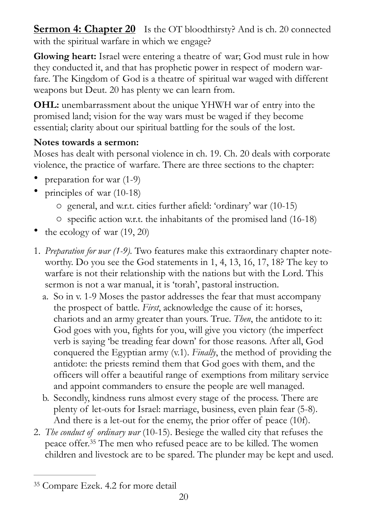<span id="page-19-0"></span>**<u>Sermon 4: Chapter 20</u>** Is the OT bloodthirsty? And is ch. 20 connected with the spiritual warfare in which we engage?

**Glowing heart:** Israel were entering a theatre of war; God must rule in how they conducted it, and that has prophetic power in respect of modern warfare. The Kingdom of God is a theatre of spiritual war waged with different weapons but Deut. 20 has plenty we can learn from.

**OHL:** unembarrassment about the unique YHWH war of entry into the promised land; vision for the way wars must be waged if they become essential; clarity about our spiritual battling for the souls of the lost.

#### **Notes towards a sermon:**

Moses has dealt with personal violence in ch. 19. Ch. 20 deals with corporate violence, the practice of warfare. There are three sections to the chapter:

- preparation for war (1-9)
- principles of war (10-18)
	- o general, and w.r.t. cities further afield: 'ordinary' war (10-15)
	- o specific action w.r.t. the inhabitants of the promised land (16-18)
- the ecology of war  $(19, 20)$
- 1. *Preparation for war (1-9).* Two features make this extraordinary chapter noteworthy. Do you see the God statements in 1, 4, 13, 16, 17, 18? The key to warfare is not their relationship with the nations but with the Lord. This sermon is not a war manual, it is 'torah', pastoral instruction.
	- a. So in v. 1-9 Moses the pastor addresses the fear that must accompany the prospect of battle. *First*, acknowledge the cause of it: horses, chariots and an army greater than yours. True. *Then*, the antidote to it: God goes with you, fights for you, will give you victory (the imperfect verb is saying 'be treading fear down' for those reasons. After all, God conquered the Egyptian army (v.1). *Finally*, the method of providing the antidote: the priests remind them that God goes with them, and the officers will offer a beautiful range of exemptions from military service and appoint commanders to ensure the people are well managed.
	- b. Secondly, kindness runs almost every stage of the process. There are plenty of let-outs for Israel: marriage, business, even plain fear (5-8). And there is a let-out for the enemy, the prior offer of peace (10f).
- <span id="page-19-2"></span>2. *The conduct of ordinary war* (10-15). Besiege the walled city that refuses the peace offer[.](#page-19-1)<sup>[35](#page-19-1)</sup> The men who refused peace are to be killed. The women children and livestock are to be spared. The plunder may be kept and used.

<span id="page-19-1"></span><sup>&</sup>lt;sup>[35](#page-19-2)</sup> Compare Ezek. 4.2 for more detail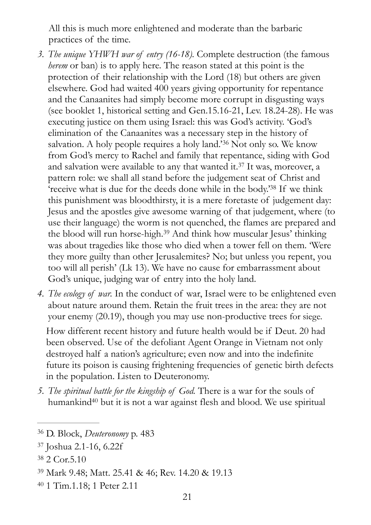All this is much more enlightened and moderate than the barbaric practices of the time.

- <span id="page-20-6"></span><span id="page-20-5"></span>*3. The unique YHWH war of entry (16-18).* Complete destruction (the famous *herem* or ban) is to apply here. The reason stated at this point is the protection of their relationship with the Lord (18) but others are given elsewhere. God had waited 400 years giving opportunity for repentance and the Canaanites had simply become more corrupt in disgusting ways (see booklet 1, historical setting and Gen.15.16-21, Lev. 18.24-28). He was executing justice on them using Israel: this was God's activity. 'God's elimination of the Canaanites was a necessary step in the history of salvation.A holy people requires a holy land.<sup>[36](#page-20-0)</sup> Not only so. We know from God's mercy to Rachel and family that repentance, siding with God andsalvation were available to any that wanted it. $37$  It was, moreover, a pattern role: we shall all stand before the judgement seat of Christ and ['](#page-20-2)receive what is due for the deeds done while in the body.<sup>[38](#page-20-2)</sup> If we think this punishment was bloodthirsty, it is a mere foretaste of judgement day: Jesus and the apostles give awesome warning of that judgement, where (to use their language) the worm is not quenched, the flames are prepared and theblood will run horse-high.<sup>[39](#page-20-3)</sup> And think how muscular Jesus' thinking was about tragedies like those who died when a tower fell on them. 'Were they more guilty than other Jerusalemites? No; but unless you repent, you too will all perish' (Lk 13). We have no cause for embarrassment about God's unique, judging war of entry into the holy land.
- <span id="page-20-8"></span><span id="page-20-7"></span>*4. The ecology of war.* In the conduct of war, Israel were to be enlightened even about nature around them. Retain the fruit trees in the area: they are not your enemy (20.19), though you may use non-productive trees for siege.

How different recent history and future health would be if Deut. 20 had been observed. Use of the defoliant Agent Orange in Vietnam not only destroyed half a nation's agriculture; even now and into the indefinite future its poison is causing frightening frequencies of genetic birth defects in the population. Listen to Deuteronomy.

<span id="page-20-9"></span>*5. The spiritual battle for the kingship of God.* There is a war for the souls of humankin[d](#page-20-4)<sup>[40](#page-20-4)</sup> but it is not a war against flesh and blood. We use spiritual

<span id="page-20-0"></span><sup>&</sup>lt;sup>[36](#page-20-5)</sup> D. Block, *Deuteronomy* p. 483

<span id="page-20-1"></span><sup>&</sup>lt;sup>[37](#page-20-6)</sup> Joshua 2.1-16, 6.22f

<span id="page-20-2"></span>[<sup>38</sup>](#page-20-7) 2 Cor.5.10

<span id="page-20-3"></span><sup>&</sup>lt;sup>[39](#page-20-8)</sup> Mark 9.48; Matt. 25.41 & 46; Rev. 14.20 & 19.13

<span id="page-20-4"></span><sup>&</sup>lt;sup>[40](#page-20-9)</sup> 1 Tim.1.18; 1 Peter 2.11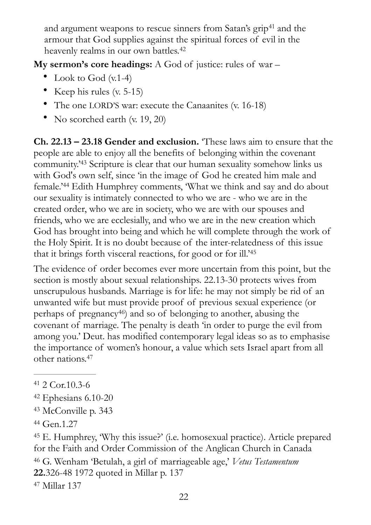<span id="page-21-8"></span><span id="page-21-7"></span>andargument weapons to rescue sinners from Satan's grip<sup>[41](#page-21-0)</sup> and the armour that God supplies against the spiritual forces of evil in the heavenly realms in our own battles.<sup>[42](#page-21-1)</sup>

**My sermon's core headings:** A God of justice: rules of war –

- Look to God (v.1-4)
- Keep his rules (v. 5-15)
- The one LORD'S war: execute the Canaanites (v. 16-18)
- No scorched earth (v. 19, 20)

<span id="page-21-10"></span><span id="page-21-9"></span>**Ch. 22.13 – 23.18 Gender and exclusion.** 'These laws aim to ensure that the people are able to enjoy all the benefits of belonging within the covenant community.<sup>2[43](#page-21-2)</sup> Scripture is clear that our human sexuality somehow links us with God's own self, since 'in the image of God he created him male and female.<sup>244</sup>Edith Humphrey comments, What we think and say and do about our sexuality is intimately connected to who we are - who we are in the created order, who we are in society, who we are with our spouses and friends, who we are ecclesially, and who we are in the new creation which God has brought into being and which he will complete through the work of the Holy Spirit. It is no doubt because of the inter-relatedness of this issue that it brings forth visceral reactions, for good or for ill.'[45](#page-21-4)

<span id="page-21-12"></span><span id="page-21-11"></span>The evidence of order becomes ever more uncertain from this point, but the section is mostly about sexual relationships. 22.13-30 protects wives from unscrupulous husbands. Marriage is for life: he may not simply be rid of an unwanted wife but must provide proof of previous sexual experience (or perhaps of pregnancy<sup>46</sup>[\)](#page-21-5) and so of belonging to another, abusing the covenant of marriage. The penalty is death 'in order to purge the evil from among you.' Deut. has modified contemporary legal ideas so as to emphasise the importance of women's honour, a value which sets Israel apart from all other nations[.47](#page-21-6)

- <span id="page-21-1"></span> $42$  Ephesians 6.10-20
- <span id="page-21-2"></span><sup>[43](#page-21-9)</sup> McConville p. 343
- <span id="page-21-3"></span>[44](#page-21-10) Gen.1.27

<span id="page-21-6"></span><span id="page-21-5"></span><span id="page-21-4"></span> E. Humphrey, 'Why this issue?' (i.e. homosexual practice). Article prepared [45](#page-21-11) for the Faith and Order Commission of the Anglican Church in Canada [46](#page-21-12) G. Wenham 'Betulah, a girl of marriageable age,' *Vetus Testamentum* **22.**326-48 1972 quoted in Millar p. 137 Millar 137 [47](#page-21-13)

<span id="page-21-13"></span><span id="page-21-0"></span> $41$  2 Cor. 10.3-6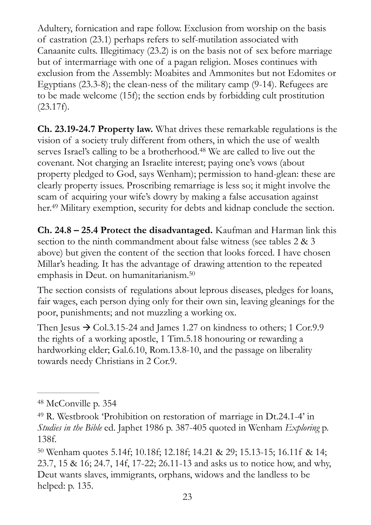Adultery, fornication and rape follow. Exclusion from worship on the basis of castration (23.1) perhaps refers to self-mutilation associated with Canaanite cults. Illegitimacy (23.2) is on the basis not of sex before marriage but of intermarriage with one of a pagan religion. Moses continues with exclusion from the Assembly: Moabites and Ammonites but not Edomites or Egyptians (23.3-8); the clean-ness of the military camp (9-14). Refugees are to be made welcome (15f); the section ends by forbidding cult prostitution  $(23.17f).$ 

<span id="page-22-3"></span>**Ch. 23.19-24.7 Property law.** What drives these remarkable regulations is the vision of a society truly different from others, in which the use of wealth serves Israel's calling to be a brotherhood[.](#page-22-0)<sup>[48](#page-22-0)</sup> We are called to live out the covenant. Not charging an Israelite interest; paying one's vows (about property pledged to God, says Wenham); permission to hand-glean: these are clearly property issues. Proscribing remarriage is less so; it might involve the scam of acquiring your wife's dowry by making a false accusation against her[.](#page-22-1)<sup>[49](#page-22-1)</sup> Military exemption, security for debts and kidnap conclude the section.

<span id="page-22-4"></span>**Ch. 24.8 – 25.4 Protect the disadvantaged.** Kaufman and Harman link this section to the ninth commandment about false witness (see tables 2 & 3) above) but given the content of the section that looks forced. I have chosen Millar's heading. It has the advantage of drawing attention to the repeated emphasis in Deut. on humanitarianism[.](#page-22-2) [50](#page-22-2)

<span id="page-22-5"></span>The section consists of regulations about leprous diseases, pledges for loans, fair wages, each person dying only for their own sin, leaving gleanings for the poor, punishments; and not muzzling a working ox.

Then Jesus  $\rightarrow$  Col.3.15-24 and James 1.27 on kindness to others; 1 Cor.9.9 the rights of a working apostle, 1 Tim.5.18 honouring or rewarding a hardworking elder; Gal.6.10, Rom.13.8-10, and the passage on liberality towards needy Christians in 2 Cor.9.

<span id="page-22-0"></span><sup>&</sup>lt;sup>[48](#page-22-3)</sup> McConville p. 354

<span id="page-22-1"></span><sup>&</sup>lt;sup>[49](#page-22-4)</sup> R. Westbrook 'Prohibition on restoration of marriage in Dt.24.1-4' in *Studies in the Bible* ed. Japhet 1986 p. 387-405 quoted in Wenham *Exploring* p. 138f.

<span id="page-22-2"></span><sup>&</sup>lt;sup>[50](#page-22-5)</sup> Wenham quotes 5.14f; 10.18f; 12.18f; 14.21 & 29; 15.13-15; 16.11f & 14; 23.7, 15 & 16; 24.7, 14f, 17-22; 26.11-13 and asks us to notice how, and why, Deut wants slaves, immigrants, orphans, widows and the landless to be helped: p. 135.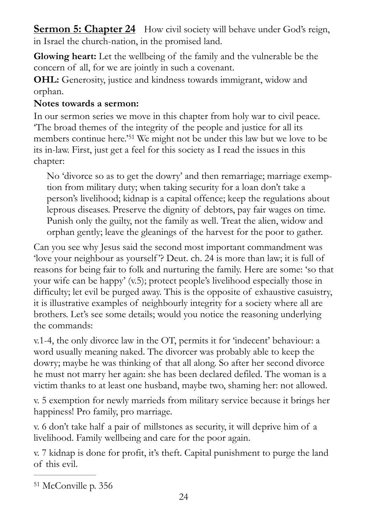<span id="page-23-0"></span>**Sermon 5: Chapter 24** How civil society will behave under God's reign, in Israel the church-nation, in the promised land.

**Glowing heart:** Let the wellbeing of the family and the vulnerable be the concern of all, for we are jointly in such a covenant.

**OHL:** Generosity, justice and kindness towards immigrant, widow and orphan.

#### **Notes towards a sermon:**

In our sermon series we move in this chapter from holy war to civil peace. 'The broad themes of the integrity of the people and justice for all its memberscontinue here.<sup>'[51](#page-23-1)</sup> We might not be under this law but we love to be its in-law. First, just get a feel for this society as I read the issues in this chapter:

<span id="page-23-2"></span>No 'divorce so as to get the dowry' and then remarriage; marriage exemption from military duty; when taking security for a loan don't take a person's livelihood; kidnap is a capital offence; keep the regulations about leprous diseases. Preserve the dignity of debtors, pay fair wages on time. Punish only the guilty, not the family as well. Treat the alien, widow and orphan gently; leave the gleanings of the harvest for the poor to gather.

Can you see why Jesus said the second most important commandment was 'love your neighbour as yourself '? Deut. ch. 24 is more than law; it is full of reasons for being fair to folk and nurturing the family. Here are some: 'so that your wife can be happy' (v.5); protect people's livelihood especially those in difficulty; let evil be purged away. This is the opposite of exhaustive casuistry, it is illustrative examples of neighbourly integrity for a society where all are brothers. Let's see some details; would you notice the reasoning underlying the commands:

v.1-4, the only divorce law in the OT, permits it for 'indecent' behaviour: a word usually meaning naked. The divorcer was probably able to keep the dowry; maybe he was thinking of that all along. So after her second divorce he must not marry her again: she has been declared defiled. The woman is a victim thanks to at least one husband, maybe two, shaming her: not allowed.

v. 5 exemption for newly marrieds from military service because it brings her happiness! Pro family, pro marriage.

v. 6 don't take half a pair of millstones as security, it will deprive him of a livelihood. Family wellbeing and care for the poor again.

v. 7 kidnap is done for profit, it's theft. Capital punishment to purge the land of this evil.

<span id="page-23-1"></span><sup>&</sup>lt;sup>[51](#page-23-2)</sup> McConville p. 356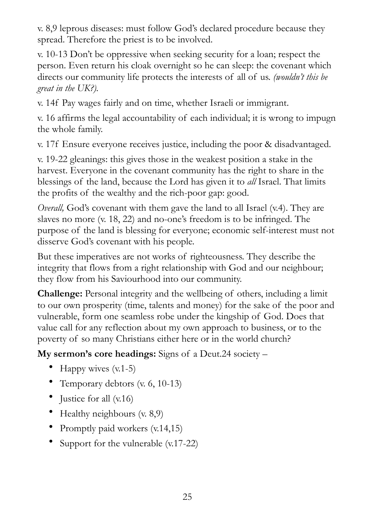v. 8,9 leprous diseases: must follow God's declared procedure because they spread. Therefore the priest is to be involved.

v. 10-13 Don't be oppressive when seeking security for a loan; respect the person. Even return his cloak overnight so he can sleep: the covenant which directs our community life protects the interests of all of us. *(wouldn't this be great in the UK?).*

v. 14f Pay wages fairly and on time, whether Israeli or immigrant.

v. 16 affirms the legal accountability of each individual; it is wrong to impugn the whole family.

v. 17f Ensure everyone receives justice, including the poor & disadvantaged.

v. 19-22 gleanings: this gives those in the weakest position a stake in the harvest. Everyone in the covenant community has the right to share in the blessings of the land, because the Lord has given it to *all* Israel. That limits the profits of the wealthy and the rich-poor gap: good.

*Overall,* God's covenant with them gave the land to all Israel (v.4). They are slaves no more (v. 18, 22) and no-one's freedom is to be infringed. The purpose of the land is blessing for everyone; economic self-interest must not disserve God's covenant with his people.

But these imperatives are not works of righteousness. They describe the integrity that flows from a right relationship with God and our neighbour; they flow from his Saviourhood into our community.

**Challenge:** Personal integrity and the wellbeing of others, including a limit to our own prosperity (time, talents and money) for the sake of the poor and vulnerable, form one seamless robe under the kingship of God. Does that value call for any reflection about my own approach to business, or to the poverty of so many Christians either here or in the world church?

**My sermon's core headings:** Signs of a Deut.24 society –

- Happy wives  $(v.1-5)$
- Temporary debtors (v. 6, 10-13)
- Justice for all (v.16)
- Healthy neighbours (v. 8,9)
- Promptly paid workers (v.14,15)
- Support for the vulnerable (v.17-22)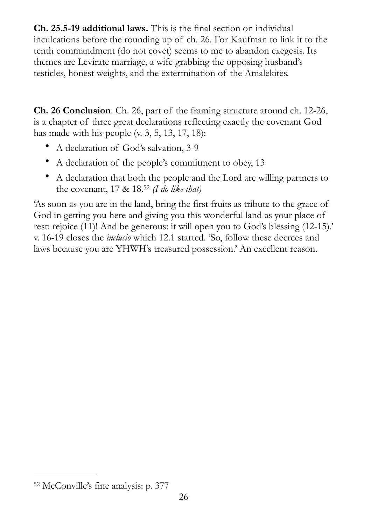**Ch. 25.5-19 additional laws.** This is the final section on individual inculcations before the rounding up of ch. 26. For Kaufman to link it to the tenth commandment (do not covet) seems to me to abandon exegesis. Its themes are Levirate marriage, a wife grabbing the opposing husband's testicles, honest weights, and the extermination of the Amalekites.

**Ch. 26 Conclusion**. Ch. 26, part of the framing structure around ch. 12-26, is a chapter of three great declarations reflecting exactly the covenant God has made with his people  $(v. 3, 5, 13, 17, 18)$ :

- A declaration of God's salvation, 3-9
- A declaration of the people's commitment to obey, 13
- <span id="page-25-1"></span>• A declaration that both the people and the Lord are willing partners to the covenant,  $17 \& 18.52$  $17 \& 18.52$  (*I do like that*)

'As soon as you are in the land, bring the first fruits as tribute to the grace of God in getting you here and giving you this wonderful land as your place of rest: rejoice (11)! And be generous: it will open you to God's blessing (12-15).' v. 16-19 closes the *inclusio* which 12.1 started. 'So, follow these decrees and laws because you are YHWH's treasured possession.' An excellent reason.

<span id="page-25-0"></span>[<sup>52</sup>](#page-25-1) McConville's fine analysis: p. 377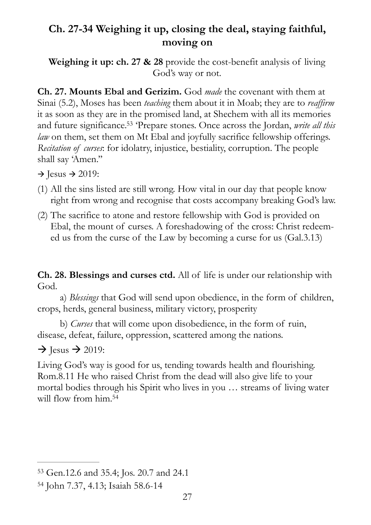#### <span id="page-26-0"></span>**Ch. 27-34 Weighing it up, closing the deal, staying faithful, moving on**

**Weighing it up: ch. 27 & 28** provide the cost-benefit analysis of living God's way or not.

<span id="page-26-3"></span>**Ch. 27. Mounts Ebal and Gerizim.** God *made* the covenant with them at Sinai (5.2), Moses has been *teaching* them about it in Moab; they are to *reaffirm* it as soon as they are in the promised land, at Shechem with all its memories and future significance[.](#page-26-1)<sup>53</sup> Prepare stones. Once across the Jordan, *write all this law* on them, set them on Mt Ebal and joyfully sacrifice fellowship offerings. *Recitation of curses*: for idolatry, injustice, bestiality, corruption. The people shall say 'Amen.''

 $\rightarrow$  Jesus  $\rightarrow$  2019:

- (1) All the sins listed are still wrong. How vital in our day that people know right from wrong and recognise that costs accompany breaking God's law.
- (2) The sacrifice to atone and restore fellowship with God is provided on Ebal, the mount of curses. A foreshadowing of the cross: Christ redeemed us from the curse of the Law by becoming a curse for us (Gal.3.13)

**Ch. 28. Blessings and curses ctd.** All of life is under our relationship with God.

 a) *Blessings* that God will send upon obedience, in the form of children, crops, herds, general business, military victory, prosperity

 b) *Curses* that will come upon disobedience, in the form of ruin, disease, defeat, failure, oppression, scattered among the nations.

 $\rightarrow$  Jesus  $\rightarrow$  2019:

<span id="page-26-4"></span>Living God's way is good for us, tending towards health and flourishing. Rom.8.11 He who raised Christ from the dead will also give life to your mortal bodies through his Spirit who lives in you … streams of living water will flow from him.<sup>54</sup>

<span id="page-26-1"></span>[<sup>53</sup>](#page-26-3) Gen.12.6 and 35.4; Jos. 20.7 and 24.1

<span id="page-26-2"></span>[<sup>54</sup>](#page-26-4) John 7.37, 4.13; Isaiah 58.6-14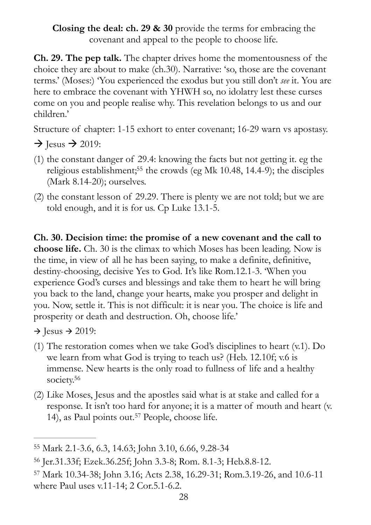**Closing the deal: ch. 29 & 30** provide the terms for embracing the covenant and appeal to the people to choose life.

**Ch. 29. The pep talk.** The chapter drives home the momentousness of the choice they are about to make (ch.30). Narrative: 'so, those are the covenant terms.' (Moses:) 'You experienced the exodus but you still don't *see* it. You are here to embrace the covenant with YHWH so, no idolatry lest these curses come on you and people realise why. This revelation belongs to us and our children.'

Structure of chapter: 1-15 exhort to enter covenant; 16-29 warn vs apostasy.

 $\rightarrow$  Jesus  $\rightarrow$  2019:

- <span id="page-27-3"></span>(1) the constant danger of 29.4: knowing the facts but not getting it. eg the religious establishment[;](#page-27-0)<sup>[55](#page-27-0)</sup> the crowds (eg Mk 10.48, 14.4-9); the disciples (Mark 8.14-20); ourselves.
- (2) the constant lesson of 29.29. There is plenty we are not told; but we are told enough, and it is for us. Cp Luke 13.1-5.

**Ch. 30. Decision time: the promise of a new covenant and the call to choose life.** Ch. 30 is the climax to which Moses has been leading. Now is the time, in view of all he has been saying, to make a definite, definitive, destiny-choosing, decisive Yes to God. It's like Rom.12.1-3. 'When you experience God's curses and blessings and take them to heart he will bring you back to the land, change your hearts, make you prosper and delight in you. Now, settle it. This is not difficult: it is near you. The choice is life and prosperity or death and destruction. Oh, choose life.'

 $\rightarrow$  Jesus  $\rightarrow$  2019:

- (1) The restoration comes when we take God's disciplines to heart (v.1). Do we learn from what God is trying to teach us? (Heb. 12.10f; v.6 is immense. New hearts is the only road to fullness of life and a healthy society[.](#page-27-1)<sup>[56](#page-27-1)</sup>
- <span id="page-27-5"></span><span id="page-27-4"></span>(2) Like Moses, Jesus and the apostles said what is at stake and called for a response. It isn't too hard for anyone; it is a matter of mouth and heart (v. 14),as Paul points out.<sup>[57](#page-27-2)</sup> People, choose life.

<span id="page-27-0"></span>[<sup>55</sup>](#page-27-3) Mark 2.1-3.6, 6.3, 14.63; John 3.10, 6.66, 9.28-34

<span id="page-27-1"></span>[<sup>56</sup>](#page-27-4) Jer.31.33f; Ezek.36.25f; John 3.3-8; Rom. 8.1-3; Heb.8.8-12.

<span id="page-27-2"></span><sup>&</sup>lt;sup>[57](#page-27-5)</sup> Mark 10.34-38; John 3.16; Acts 2.38, 16.29-31; Rom.3.19-26, and 10.6-11 where Paul uses v.11-14; 2 Cor.5.1-6.2.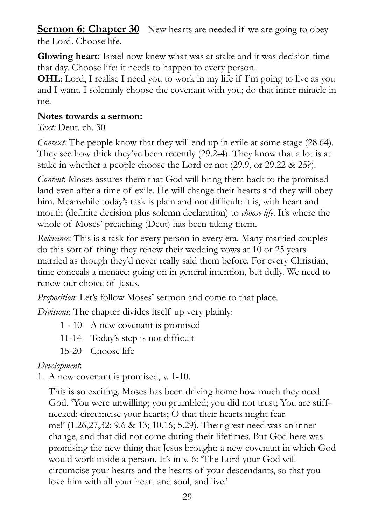<span id="page-28-0"></span>**Sermon 6: Chapter 30** New hearts are needed if we are going to obey the Lord. Choose life.

**Glowing heart:** Israel now knew what was at stake and it was decision time that day. Choose life: it needs to happen to every person.

**OHL**: Lord, I realise I need you to work in my life if I'm going to live as you and I want. I solemnly choose the covenant with you; do that inner miracle in me.

#### **Notes towards a sermon:**

*Text:* Deut. ch. 30

*Context:* The people know that they will end up in exile at some stage (28.64). They see how thick they've been recently (29.2-4). They know that a lot is at stake in whether a people choose the Lord or not (29.9, or 29.22 & 25?).

*Content*: Moses assures them that God will bring them back to the promised land even after a time of exile. He will change their hearts and they will obey him. Meanwhile today's task is plain and not difficult: it is, with heart and mouth (definite decision plus solemn declaration) to *choose life.* It's where the whole of Moses' preaching (Deut) has been taking them.

*Relevance*: This is a task for every person in every era. Many married couples do this sort of thing: they renew their wedding vows at 10 or 25 years married as though they'd never really said them before. For every Christian, time conceals a menace: going on in general intention, but dully. We need to renew our choice of Jesus.

*Proposition*: Let's follow Moses' sermon and come to that place.

*Divisions*: The chapter divides itself up very plainly:

- 1 10 A new covenant is promised
- 11-14 Today's step is not difficult
- 15-20 Choose life

#### *Development*:

1. A new covenant is promised, v. 1-10.

This is so exciting. Moses has been driving home how much they need God. 'You were unwilling; you grumbled; you did not trust; You are stiffnecked; circumcise your hearts; O that their hearts might fear me!' (1.26,27,32; 9.6 & 13; 10.16; 5.29). Their great need was an inner change, and that did not come during their lifetimes. But God here was promising the new thing that Jesus brought: a new covenant in which God would work inside a person. It's in v. 6: 'The Lord your God will circumcise your hearts and the hearts of your descendants, so that you love him with all your heart and soul, and live.'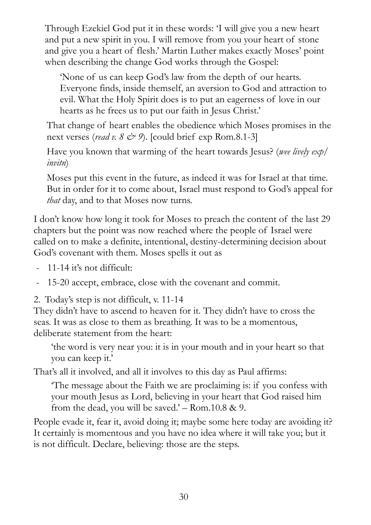Through Ezekiel God put it in these words: 'I will give you a new heart and put a new spirit in you. I will remove from you your heart of stone and give you a heart of flesh.' Martin Luther makes exactly Moses' point when describing the change God works through the Gospel:

'None of us can keep God's law from the depth of our hearts. Everyone finds, inside themself, an aversion to God and attraction to evil. What the Holy Spirit does is to put an eagerness of love in our hearts as he frees us to put our faith in Jesus Christ.'

That change of heart enables the obedience which Moses promises in the next verses (*read v. 8*  $\lll$  9). [could brief exp Rom.8.1-3]

Have you known that warming of the heart towards Jesus? (*wee lively exp/ invitn*)

Moses put this event in the future, as indeed it was for Israel at that time. But in order for it to come about, Israel must respond to God's appeal for *that* day, and to that Moses now turns.

I don't know how long it took for Moses to preach the content of the last 29 chapters but the point was now reached where the people of Israel were called on to make a definite, intentional, destiny-determining decision about God's covenant with them. Moses spells it out as

- 11-14 it's not difficult:

- 15-20 accept, embrace, close with the covenant and commit.

2. Today's step is not difficult, v. 11-14

They didn't have to ascend to heaven for it. They didn't have to cross the seas. It was as close to them as breathing. It was to be a momentous, deliberate statement from the heart:

'the word is very near you: it is in your mouth and in your heart so that you can keep it.'

That's all it involved, and all it involves to this day as Paul affirms:

'The message about the Faith we are proclaiming is: if you confess with your mouth Jesus as Lord, believing in your heart that God raised him from the dead, you will be saved.'  $-$  Rom.10.8 & 9.

People evade it, fear it, avoid doing it; maybe some here today are avoiding it? It certainly is momentous and you have no idea where it will take you; but it is not difficult. Declare, believing: those are the steps.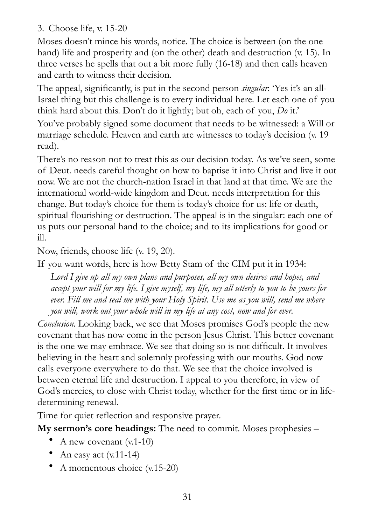3. Choose life, v. 15-20

Moses doesn't mince his words, notice. The choice is between (on the one hand) life and prosperity and (on the other) death and destruction (v. 15). In three verses he spells that out a bit more fully (16-18) and then calls heaven and earth to witness their decision.

The appeal, significantly, is put in the second person *singular*: 'Yes it's an all-Israel thing but this challenge is to every individual here. Let each one of you think hard about this. Don't do it lightly; but oh, each of you, *Do* it.'

You've probably signed some document that needs to be witnessed: a Will or marriage schedule. Heaven and earth are witnesses to today's decision (v. 19 read).

There's no reason not to treat this as our decision today. As we've seen, some of Deut. needs careful thought on how to baptise it into Christ and live it out now. We are not the church-nation Israel in that land at that time. We are the international world-wide kingdom and Deut. needs interpretation for this change. But today's choice for them is today's choice for us: life or death, spiritual flourishing or destruction. The appeal is in the singular: each one of us puts our personal hand to the choice; and to its implications for good or ill.

Now, friends, choose life (v. 19, 20).

If you want words, here is how Betty Stam of the CIM put it in 1934:

*Lord I give up all my own plans and purposes, all my own desires and hopes, and accept your will for my life. I give myself, my life, my all utterly to you to be yours for*  ever. Fill me and seal me with your Holy Spirit. Use me as you will, send me where *you will, work out your whole will in my life at any cost, now and for ever.* 

*Conclusion.* Looking back, we see that Moses promises God's people the new covenant that has now come in the person Jesus Christ. This better covenant is the one we may embrace. We see that doing so is not difficult. It involves believing in the heart and solemnly professing with our mouths. God now calls everyone everywhere to do that. We see that the choice involved is between eternal life and destruction. I appeal to you therefore, in view of God's mercies, to close with Christ today, whether for the first time or in lifedetermining renewal.

Time for quiet reflection and responsive prayer.

**My sermon's core headings:** The need to commit. Moses prophesies –

- A new covenant  $(v.1-10)$
- An easy act  $(v.11-14)$
- A momentous choice (v.15-20)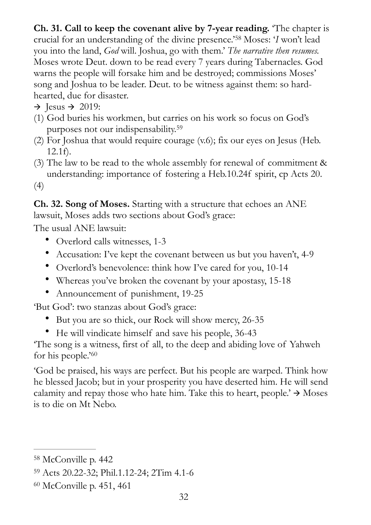<span id="page-31-3"></span>**Ch. 31. Call to keep the covenant alive by 7-year reading.** 'The chapter is crucialfor an understanding of the divine presence.'<sup>58</sup> Moses: '*I* won't lead you into the land, *God* will. Joshua, go with them.' *The narrative then resumes.*  Moses wrote Deut. down to be read every 7 years during Tabernacles. God warns the people will forsake him and be destroyed; commissions Moses' song and Joshua to be leader. Deut. to be witness against them: so hardhearted, due for disaster.

 $\rightarrow$  Jesus  $\rightarrow$  2019:

- <span id="page-31-4"></span>(1) God buries his workmen, but carries on his work so focus on God's purposes not our indispensability. [59](#page-31-1)
- (2) For Joshua that would require courage (v.6); fix our eyes on Jesus (Heb. 12.1f).
- (3) The law to be read to the whole assembly for renewal of commitment & understanding: importance of fostering a Heb.10.24f spirit, cp Acts 20.

(4)

**Ch. 32. Song of Moses.** Starting with a structure that echoes an ANE lawsuit, Moses adds two sections about God's grace:

The usual ANE lawsuit:

- Overlord calls witnesses, 1-3
- Accusation: I've kept the covenant between us but you haven't, 4-9
- Overlord's benevolence: think how I've cared for you, 10-14
- Whereas you've broken the covenant by your apostasy, 15-18
- Announcement of punishment, 19-25

'But God': two stanzas about God's grace:

- But you are so thick, our Rock will show mercy, 26-35
- <span id="page-31-5"></span>• He will vindicate himself and save his people, 36-43

'The song is a witness, first of all, to the deep and abiding love of Yahweh for his people.'[60](#page-31-2)

'God be praised, his ways are perfect. But his people are warped. Think how he blessed Jacob; but in your prosperity you have deserted him. He will send calamity and repay those who hate him. Take this to heart, people.'  $\rightarrow$  Moses is to die on Mt Nebo.

<span id="page-31-0"></span><sup>&</sup>lt;sup>[58](#page-31-3)</sup> McConville p. 442

<span id="page-31-1"></span>[<sup>59</sup>](#page-31-4) Acts 20.22-32; Phil.1.12-24; 2Tim 4.1-6

<span id="page-31-2"></span> $60$  McConville p. 451, 461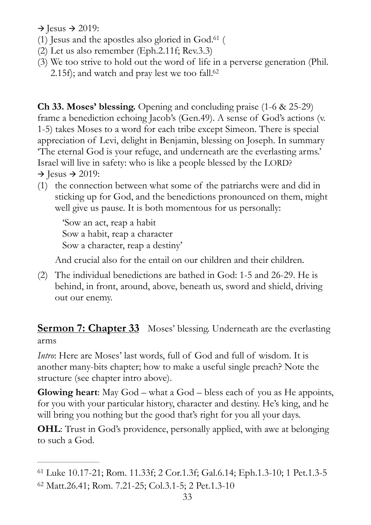$\rightarrow$  Jesus  $\rightarrow$  2019:

- (1) Jesus and the apostles also gloried in  $God.<sup>61</sup>$  $God.<sup>61</sup>$  $God.<sup>61</sup>$  $God.<sup>61</sup>$  $God.<sup>61</sup>$  (
- <span id="page-32-3"></span>(2) Let us also remember (Eph.2.11f; Rev.3.3)
- <span id="page-32-4"></span>(3) We too strive to hold out the word of life in a perverse generation (Phil. 2[.](#page-32-2)15f); and watch and pray lest we too fall. $62$

**Ch 33. Moses' blessing.** Opening and concluding praise (1-6 & 25-29) frame a benediction echoing Jacob's (Gen.49). A sense of God's actions (v. 1-5) takes Moses to a word for each tribe except Simeon. There is special appreciation of Levi, delight in Benjamin, blessing on Joseph. In summary 'The eternal God is your refuge, and underneath are the everlasting arms.' Israel will live in safety: who is like a people blessed by the LORD?  $\rightarrow$  Jesus  $\rightarrow$  2019:

(1) the connection between what some of the patriarchs were and did in sticking up for God, and the benedictions pronounced on them, might well give us pause. It is both momentous for us personally:

 'Sow an act, reap a habit Sow a habit, reap a character Sow a character, reap a destiny'

And crucial also for the entail on our children and their children.

(2) The individual benedictions are bathed in God: 1-5 and 26-29. He is behind, in front, around, above, beneath us, sword and shield, driving out our enemy.

<span id="page-32-0"></span>**Sermon 7: Chapter 33** Moses' blessing. Underneath are the everlasting arms

*Intro*: Here are Moses' last words, full of God and full of wisdom. It is another many-bits chapter; how to make a useful single preach? Note the structure (see chapter intro above).

**Glowing heart**: May God – what a God – bless each of you as He appoints, for you with your particular history, character and destiny. He's king, and he will bring you nothing but the good that's right for you all your days.

**OHL**: Trust in God's providence, personally applied, with awe at belonging to such a God.

<span id="page-32-1"></span>Luke 10.17-21; Rom. 11.33f; 2 Cor.1.3f; Gal.6.14; Eph.1.3-10; 1 Pet.1.3-5 [61](#page-32-3)

<span id="page-32-2"></span>[<sup>62</sup>](#page-32-4) Matt.26.41; Rom. 7.21-25; Col.3.1-5; 2 Pet.1.3-10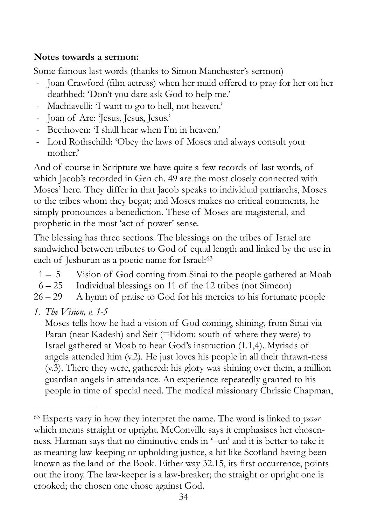#### **Notes towards a sermon:**

Some famous last words (thanks to Simon Manchester's sermon)

- Joan Crawford (film actress) when her maid offered to pray for her on her deathbed: 'Don't you dare ask God to help me.'
- Machiavelli: 'I want to go to hell, not heaven.'
- Joan of Arc: 'Jesus, Jesus, Jesus.'
- Beethoven: 'I shall hear when I'm in heaven.'
- Lord Rothschild: 'Obey the laws of Moses and always consult your mother.'

And of course in Scripture we have quite a few records of last words, of which Jacob's recorded in Gen ch. 49 are the most closely connected with Moses' here. They differ in that Jacob speaks to individual patriarchs, Moses to the tribes whom they begat; and Moses makes no critical comments, he simply pronounces a benediction. These of Moses are magisterial, and prophetic in the most 'act of power' sense.

The blessing has three sections. The blessings on the tribes of Israel are sandwiched between tributes to God of equal length and linked by the use in each of Jeshurun as a poetic name for Israel:<sup>[63](#page-33-0)</sup>

- <span id="page-33-1"></span>1 – 5 Vision of God coming from Sinai to the people gathered at Moab
- 6 25 Individual blessings on 11 of the 12 tribes (not Simeon)
- $26 29$  A hymn of praise to God for his mercies to his fortunate people
- *1. The Vision, v. 1-5*

Moses tells how he had a vision of God coming, shining, from Sinai via Paran (near Kadesh) and Seir (=Edom: south of where they were) to Israel gathered at Moab to hear God's instruction (1.1,4). Myriads of angels attended him (v.2). He just loves his people in all their thrawn-ness (v.3). There they were, gathered: his glory was shining over them, a million guardian angels in attendance. An experience repeatedly granted to his people in time of special need. The medical missionary Chrissie Chapman,

<span id="page-33-0"></span>Experts vary in how they interpret the name. The word is linked to *yasar* [63](#page-33-1) which means straight or upright. McConville says it emphasises her chosenness. Harman says that no diminutive ends in '–un' and it is better to take it as meaning law-keeping or upholding justice, a bit like Scotland having been known as the land of the Book. Either way 32.15, its first occurrence, points out the irony. The law-keeper is a law-breaker; the straight or upright one is crooked; the chosen one chose against God.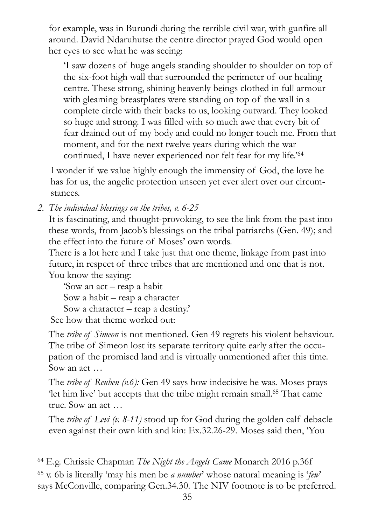for example, was in Burundi during the terrible civil war, with gunfire all around. David Ndaruhutse the centre director prayed God would open her eyes to see what he was seeing:

'I saw dozens of huge angels standing shoulder to shoulder on top of the six-foot high wall that surrounded the perimeter of our healing centre. These strong, shining heavenly beings clothed in full armour with gleaming breastplates were standing on top of the wall in a complete circle with their backs to us, looking outward. They looked so huge and strong. I was filled with so much awe that every bit of fear drained out of my body and could no longer touch me. From that moment, and for the next twelve years during which the war continued, I have never experienced nor felt fear for my life.['64](#page-34-0)

<span id="page-34-2"></span>I wonder if we value highly enough the immensity of God, the love he has for us, the angelic protection unseen yet ever alert over our circumstances.

*2. The individual blessings on the tribes, v. 6-25* 

It is fascinating, and thought-provoking, to see the link from the past into these words, from Jacob's blessings on the tribal patriarchs (Gen. 49); and the effect into the future of Moses' own words.

There is a lot here and I take just that one theme, linkage from past into future, in respect of three tribes that are mentioned and one that is not. You know the saying:

'Sow an act – reap a habit Sow a habit – reap a character Sow a character – reap a destiny.' See how that theme worked out:

The *tribe of Simeon* is not mentioned. Gen 49 regrets his violent behaviour. The tribe of Simeon lost its separate territory quite early after the occupation of the promised land and is virtually unmentioned after this time. Sow an act …

<span id="page-34-3"></span>The *tribe of Reuben (v.6):* Gen 49 says how indecisive he was. Moses prays 'let him live' but accepts that the tribe might remain small[.](#page-34-1)<sup>[65](#page-34-1)</sup> That came true. Sow an act …

The *tribe of Levi (v. 8-11)* stood up for God during the golden calf debacle even against their own kith and kin: Ex.32.26-29. Moses said then, 'You

<span id="page-34-1"></span><span id="page-34-0"></span><sup>&</sup>lt;sup>[64](#page-34-2)</sup> E.g. Chrissie Chapman *The Night the Angels Came* Monarch 2016 p.36f v. 6b is literally 'may his men be *a number*' whose natural meaning is '*few*' [65](#page-34-3) says McConville, comparing Gen.34.30. The NIV footnote is to be preferred.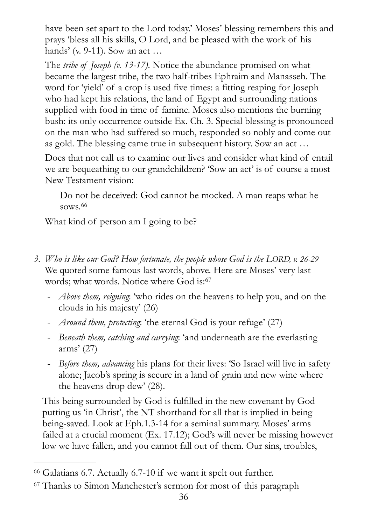have been set apart to the Lord today.' Moses' blessing remembers this and prays 'bless all his skills, O Lord, and be pleased with the work of his hands' (v. 9-11). Sow an act …

The *tribe of Joseph (v. 13-17)*. Notice the abundance promised on what became the largest tribe, the two half-tribes Ephraim and Manasseh. The word for 'yield' of a crop is used five times: a fitting reaping for Joseph who had kept his relations, the land of Egypt and surrounding nations supplied with food in time of famine. Moses also mentions the burning bush: its only occurrence outside Ex. Ch. 3. Special blessing is pronounced on the man who had suffered so much, responded so nobly and come out as gold. The blessing came true in subsequent history. Sow an act …

Does that not call us to examine our lives and consider what kind of entail we are bequeathing to our grandchildren? 'Sow an act' is of course a most New Testament vision:

<span id="page-35-3"></span><span id="page-35-2"></span>Do not be deceived: God cannot be mocked. A man reaps what he sows.[66](#page-35-0)

What kind of person am I going to be?

- *3. Who is like our God? How fortunate, the people whose God is the LORD, v. 26-29* We quoted some famous last words, above. Here are Moses' very last words; what words. Notice where God is:<sup>[67](#page-35-1)</sup>
	- *Above them, reigning*: 'who rides on the heavens to help you, and on the clouds in his majesty' (26)
	- *Around them, protecting*: 'the eternal God is your refuge' (27)
	- *Beneath them, catching and carrying*: 'and underneath are the everlasting arms' (27)
	- *Before them, advancing* his plans for their lives: 'So Israel will live in safety alone; Jacob's spring is secure in a land of grain and new wine where the heavens drop dew' (28).

This being surrounded by God is fulfilled in the new covenant by God putting us 'in Christ', the NT shorthand for all that is implied in being being-saved. Look at Eph.1.3-14 for a seminal summary. Moses' arms failed at a crucial moment (Ex. 17.12); God's will never be missing however low we have fallen, and you cannot fall out of them. Our sins, troubles,

<span id="page-35-0"></span> $66$  Galatians 6.7. Actually 6.7-10 if we want it spelt out further.

<span id="page-35-1"></span>[<sup>67</sup>](#page-35-3) Thanks to Simon Manchester's sermon for most of this paragraph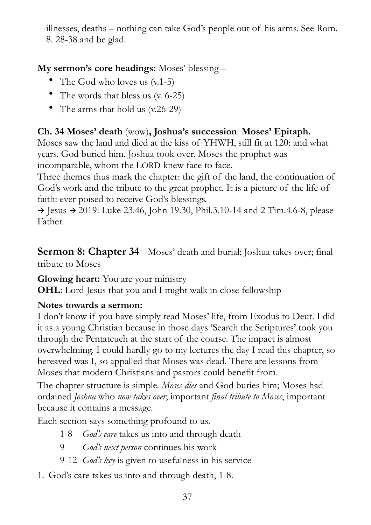illnesses, deaths – nothing can take God's people out of his arms. See Rom. 8. 28-38 and be glad.

#### **My sermon's core headings:** Moses' blessing –

- The God who loves us  $(v.1-5)$
- The words that bless us (v. 6-25)
- The arms that hold us (v.26-29)

#### **Ch. 34 Moses' death** (wow)**, Joshua's succession**. **Moses' Epitaph.**

Moses saw the land and died at the kiss of YHWH, still fit at 120: and what years. God buried him. Joshua took over. Moses the prophet was incomparable, whom the LORD knew face to face.

Three themes thus mark the chapter: the gift of the land, the continuation of God's work and the tribute to the great prophet. It is a picture of the life of faith: ever poised to receive God's blessings.

 $\rightarrow$  Jesus  $\rightarrow$  2019: Luke 23.46, John 19.30, Phil.3.10-14 and 2 Tim.4.6-8, please Father.

<span id="page-36-0"></span>**Sermon 8: Chapter 34** Moses' death and burial; Joshua takes over; final tribute to Moses

**Glowing heart:** You are your ministry

**OHL**: Lord Jesus that you and I might walk in close fellowship

#### **Notes towards a sermon:**

I don't know if you have simply read Moses' life, from Exodus to Deut. I did it as a young Christian because in those days 'Search the Scriptures' took you through the Pentateuch at the start of the course. The impact is almost overwhelming. I could hardly go to my lectures the day I read this chapter, so bereaved was I, so appalled that Moses was dead. There are lessons from Moses that modern Christians and pastors could benefit from.

The chapter structure is simple. *Moses dies* and God buries him; Moses had ordained *Joshua* who *now takes over*; important *final tribute to Moses*, important because it contains a message.

Each section says something profound to us.

- 1-8 *God's care* takes us into and through death
- 9 *God's next person* continues his work
- 9-12 *God's key* is given to usefulness in his service
- 1. God's care takes us into and through death, 1-8.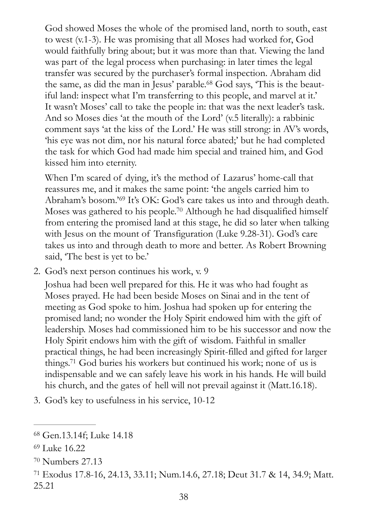<span id="page-37-4"></span>God showed Moses the whole of the promised land, north to south, east to west (v.1-3). He was promising that all Moses had worked for, God would faithfully bring about; but it was more than that. Viewing the land was part of the legal process when purchasing: in later times the legal transfer was secured by the purchaser's formal inspection. Abraham did the same, as did the man in Jesus' parable[.](#page-37-0)<sup>68</sup> God says, 'This is the beautiful land: inspect what I'm transferring to this people, and marvel at it.' It wasn't Moses' call to take the people in: that was the next leader's task. And so Moses dies 'at the mouth of the Lord' (v.5 literally): a rabbinic comment says 'at the kiss of the Lord.' He was still strong: in AV's words, 'his eye was not dim, nor his natural force abated;' but he had completed the task for which God had made him special and trained him, and God kissed him into eternity.

<span id="page-37-6"></span><span id="page-37-5"></span>When I'm scared of dying, it's the method of Lazarus' home-call that reassures me, and it makes the same point: 'the angels carried him to Abraham'sbosom.'<sup>[69](#page-37-1)</sup> It's OK: God's care takes us into and through death. Moses was gathered to his people[.](#page-37-2)<sup>[70](#page-37-2)</sup> Although he had disqualified himself from entering the promised land at this stage, he did so later when talking with Jesus on the mount of Transfiguration (Luke 9.28-31). God's care takes us into and through death to more and better. As Robert Browning said, 'The best is yet to be.'

2. God's next person continues his work, v. 9

Joshua had been well prepared for this. He it was who had fought as Moses prayed. He had been beside Moses on Sinai and in the tent of meeting as God spoke to him. Joshua had spoken up for entering the promised land; no wonder the Holy Spirit endowed him with the gift of leadership. Moses had commissioned him to be his successor and now the Holy Spirit endows him with the gift of wisdom. Faithful in smaller practical things, he had been increasingly Spirit-filled and gifted for larger things[.](#page-37-3)<sup>[71](#page-37-3)</sup> God buries his workers but continued his work; none of us is indispensable and we can safely leave his work in his hands. He will build his church, and the gates of hell will not prevail against it (Matt.16.18).

<span id="page-37-7"></span>3. God's key to usefulness in his service, 10-12

<span id="page-37-0"></span><sup>&</sup>lt;sup>[68](#page-37-4)</sup> Gen.13.14f; Luke 14.18

<span id="page-37-1"></span><sup>&</sup>lt;sup>[69](#page-37-5)</sup> Luke 16.22

<span id="page-37-2"></span><sup>&</sup>lt;sup>[70](#page-37-6)</sup> Numbers 27.13

<span id="page-37-3"></span>Exodus 17.8-16, 24.13, 33.11; Num.14.6, 27.18; Deut 31.7 & 14, 34.9; Matt. [71](#page-37-7) 25.21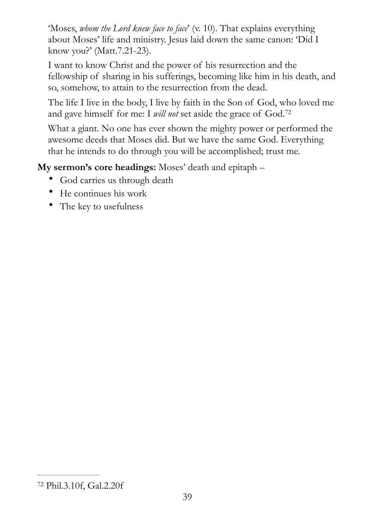'Moses, *whom the Lord knew face to face*' (v. 10). That explains everything about Moses' life and ministry. Jesus laid down the same canon: 'Did I know you?' (Matt.7.21-23).

I want to know Christ and the power of his resurrection and the fellowship of sharing in his sufferings, becoming like him in his death, and so, somehow, to attain to the resurrection from the dead.

The life I live in the body, I live by faith in the Son of God, who loved me and gave himself for me: I *will not* set aside the grace of God.[72](#page-38-0)

<span id="page-38-1"></span>What a giant. No one has ever shown the mighty power or performed the awesome deeds that Moses did. But we have the same God. Everything that he intends to do through you will be accomplished; trust me.

**My sermon's core headings:** Moses' death and epitaph –

- God carries us through death
- He continues his work
- The key to usefulness

<span id="page-38-0"></span>Phil.3.10f, Gal.2.20f [72](#page-38-1)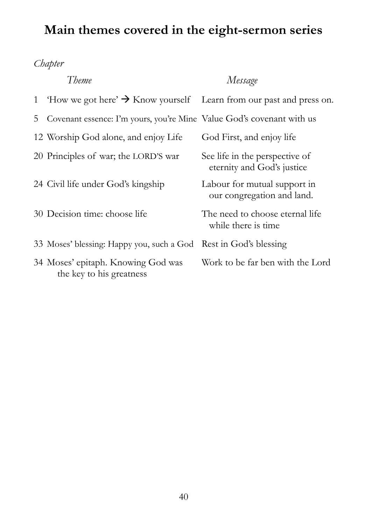## <span id="page-39-0"></span>**Main themes covered in the eight-sermon series**

*Chapter* 

|                | Theme                                                                          | Message                                                      |
|----------------|--------------------------------------------------------------------------------|--------------------------------------------------------------|
| 1              | How we got here' $\rightarrow$ Know yourself Learn from our past and press on. |                                                              |
| 5 <sup>5</sup> | Covenant essence: I'm yours, you're Mine Value God's covenant with us          |                                                              |
|                | 12 Worship God alone, and enjoy Life                                           | God First, and enjoy life                                    |
|                | 20 Principles of war; the LORD'S war                                           | See life in the perspective of<br>eternity and God's justice |
|                | 24 Civil life under God's kingship                                             | Labour for mutual support in<br>our congregation and land.   |
|                | 30 Decision time: choose life                                                  | The need to choose eternal life<br>while there is time       |
|                | 33 Moses' blessing: Happy you, such a God Rest in God's blessing               |                                                              |
|                | 34 Moses' epitaph. Knowing God was<br>the key to his greatness                 | Work to be far ben with the Lord                             |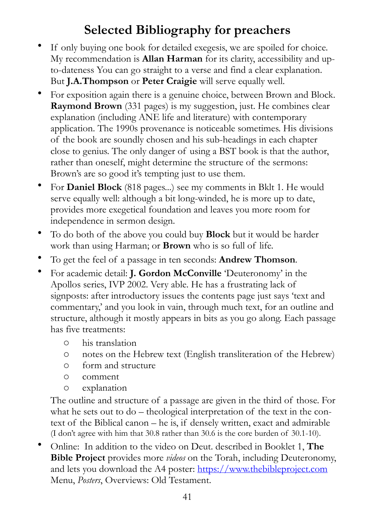## <span id="page-40-0"></span>**Selected Bibliography for preachers**

- If only buying one book for detailed exegesis, we are spoiled for choice. My recommendation is **Allan Harman** for its clarity, accessibility and upto-dateness You can go straight to a verse and find a clear explanation. But **J.A.Thompson** or **Peter Craigie** will serve equally well.
- For exposition again there is a genuine choice, between Brown and Block. **Raymond Brown** (331 pages) is my suggestion, just. He combines clear explanation (including ANE life and literature) with contemporary application. The 1990s provenance is noticeable sometimes. His divisions of the book are soundly chosen and his sub-headings in each chapter close to genius. The only danger of using a BST book is that the author, rather than oneself, might determine the structure of the sermons: Brown's are so good it's tempting just to use them.
- For **Daniel Block** (818 pages...) see my comments in Bklt 1. He would serve equally well: although a bit long-winded, he is more up to date, provides more exegetical foundation and leaves you more room for independence in sermon design.
- To do both of the above you could buy **Block** but it would be harder work than using Harman; or **Brown** who is so full of life.
- To get the feel of a passage in ten seconds: **Andrew Thomson**.
- For academic detail: **J. Gordon McConville** 'Deuteronomy' in the Apollos series, IVP 2002. Very able. He has a frustrating lack of signposts: after introductory issues the contents page just says 'text and commentary,' and you look in vain, through much text, for an outline and structure, although it mostly appears in bits as you go along. Each passage has five treatments:
	- o his translation
	- o notes on the Hebrew text (English transliteration of the Hebrew)
	- o form and structure
	- o comment
	- o explanation

The outline and structure of a passage are given in the third of those. For what he sets out to do – theological interpretation of the text in the context of the Biblical canon – he is, if densely written, exact and admirable (I don't agree with him that 30.8 rather than 30.6 is the core burden of 30.1-10).

• Online: In addition to the video on Deut. described in Booklet 1, **The Bible Project** provides more *videos* on the Torah, including Deuteronomy, and lets you download the A4 poster:<https://www.thebibleproject.com> Menu, *Posters*, Overviews: Old Testament.